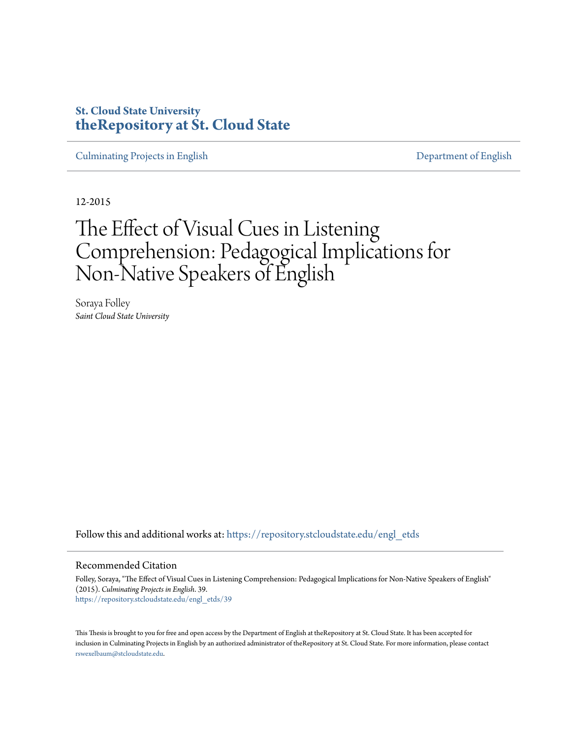# **St. Cloud State University [theRepository at St. Cloud State](https://repository.stcloudstate.edu?utm_source=repository.stcloudstate.edu%2Fengl_etds%2F39&utm_medium=PDF&utm_campaign=PDFCoverPages)**

[Culminating Projects in English](https://repository.stcloudstate.edu/engl_etds?utm_source=repository.stcloudstate.edu%2Fengl_etds%2F39&utm_medium=PDF&utm_campaign=PDFCoverPages) [Department of English](https://repository.stcloudstate.edu/engl?utm_source=repository.stcloudstate.edu%2Fengl_etds%2F39&utm_medium=PDF&utm_campaign=PDFCoverPages)

12-2015

# The Effect of Visual Cues in Listening Comprehension: Pedagogical Implications for Non-Native Speakers of English

Soraya Folley *Saint Cloud State University*

Follow this and additional works at: [https://repository.stcloudstate.edu/engl\\_etds](https://repository.stcloudstate.edu/engl_etds?utm_source=repository.stcloudstate.edu%2Fengl_etds%2F39&utm_medium=PDF&utm_campaign=PDFCoverPages)

#### Recommended Citation

Folley, Soraya, "The Effect of Visual Cues in Listening Comprehension: Pedagogical Implications for Non-Native Speakers of English" (2015). *Culminating Projects in English*. 39. [https://repository.stcloudstate.edu/engl\\_etds/39](https://repository.stcloudstate.edu/engl_etds/39?utm_source=repository.stcloudstate.edu%2Fengl_etds%2F39&utm_medium=PDF&utm_campaign=PDFCoverPages)

This Thesis is brought to you for free and open access by the Department of English at theRepository at St. Cloud State. It has been accepted for inclusion in Culminating Projects in English by an authorized administrator of theRepository at St. Cloud State. For more information, please contact [rswexelbaum@stcloudstate.edu](mailto:rswexelbaum@stcloudstate.edu).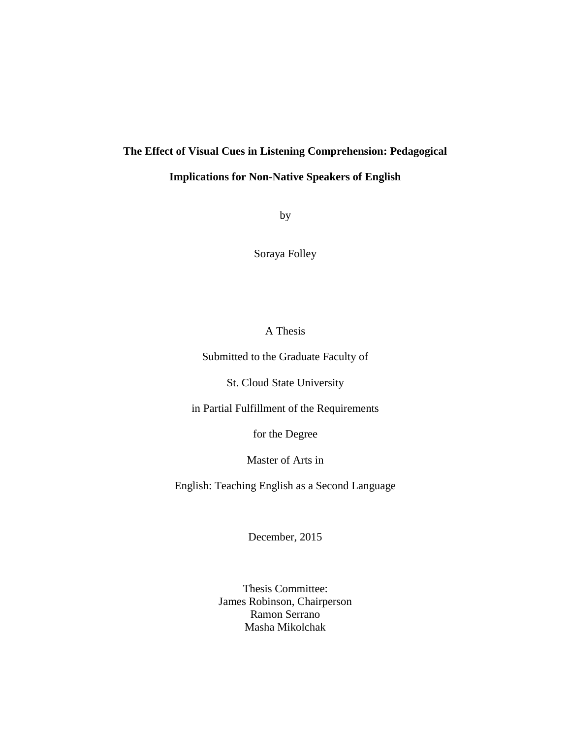# **The Effect of Visual Cues in Listening Comprehension: Pedagogical**

# **Implications for Non-Native Speakers of English**

by

Soraya Folley

### A Thesis

Submitted to the Graduate Faculty of

St. Cloud State University

in Partial Fulfillment of the Requirements

for the Degree

Master of Arts in

English: Teaching English as a Second Language

December, 2015

Thesis Committee: James Robinson, Chairperson Ramon Serrano Masha Mikolchak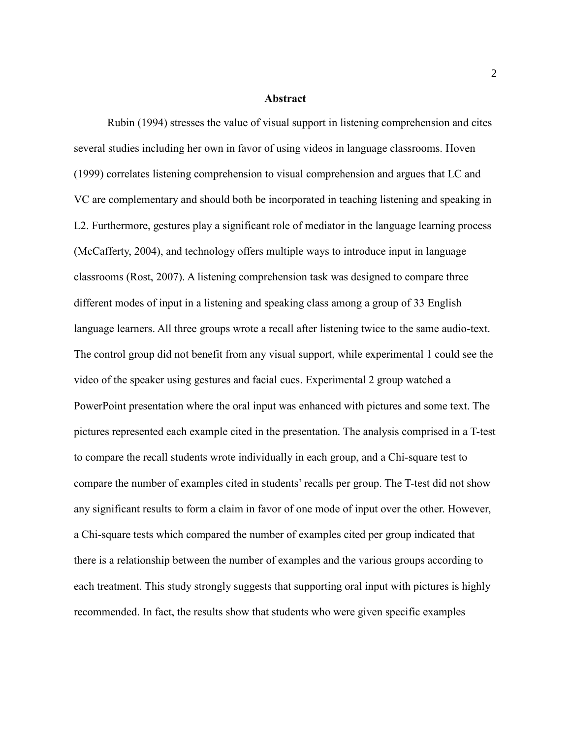#### **Abstract**

Rubin (1994) stresses the value of visual support in listening comprehension and cites several studies including her own in favor of using videos in language classrooms. Hoven (1999) correlates listening comprehension to visual comprehension and argues that LC and VC are complementary and should both be incorporated in teaching listening and speaking in L2. Furthermore, gestures play a significant role of mediator in the language learning process (McCafferty, 2004), and technology offers multiple ways to introduce input in language classrooms (Rost, 2007). A listening comprehension task was designed to compare three different modes of input in a listening and speaking class among a group of 33 English language learners. All three groups wrote a recall after listening twice to the same audio-text. The control group did not benefit from any visual support, while experimental 1 could see the video of the speaker using gestures and facial cues. Experimental 2 group watched a PowerPoint presentation where the oral input was enhanced with pictures and some text. The pictures represented each example cited in the presentation. The analysis comprised in a T-test to compare the recall students wrote individually in each group, and a Chi-square test to compare the number of examples cited in students' recalls per group. The T-test did not show any significant results to form a claim in favor of one mode of input over the other. However, a Chi-square tests which compared the number of examples cited per group indicated that there is a relationship between the number of examples and the various groups according to each treatment. This study strongly suggests that supporting oral input with pictures is highly recommended. In fact, the results show that students who were given specific examples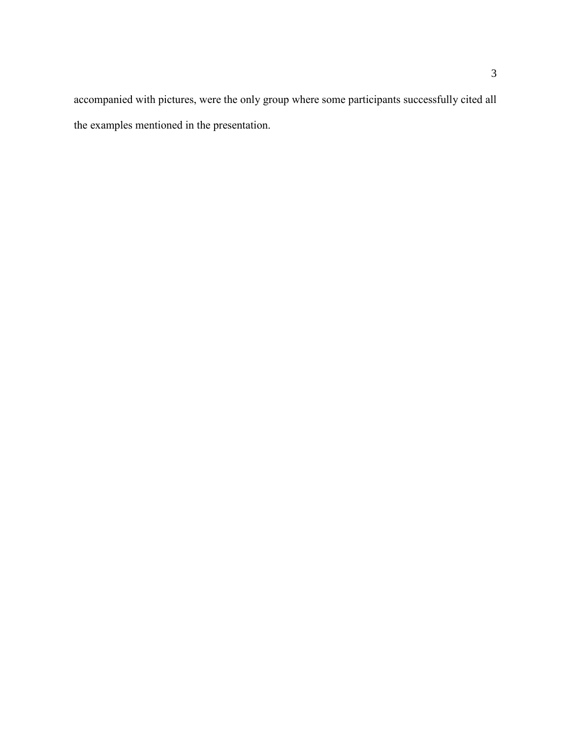accompanied with pictures, were the only group where some participants successfully cited all the examples mentioned in the presentation.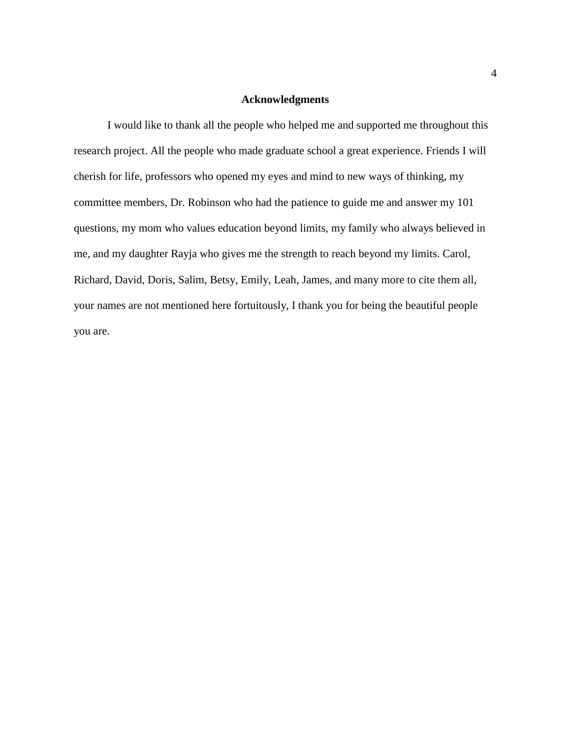### **Acknowledgments**

I would like to thank all the people who helped me and supported me throughout this research project. All the people who made graduate school a great experience. Friends I will cherish for life, professors who opened my eyes and mind to new ways of thinking, my committee members, Dr. Robinson who had the patience to guide me and answer my 101 questions, my mom who values education beyond limits, my family who always believed in me, and my daughter Rayja who gives me the strength to reach beyond my limits. Carol, Richard, David, Doris, Salim, Betsy, Emily, Leah, James, and many more to cite them all, your names are not mentioned here fortuitously, I thank you for being the beautiful people you are.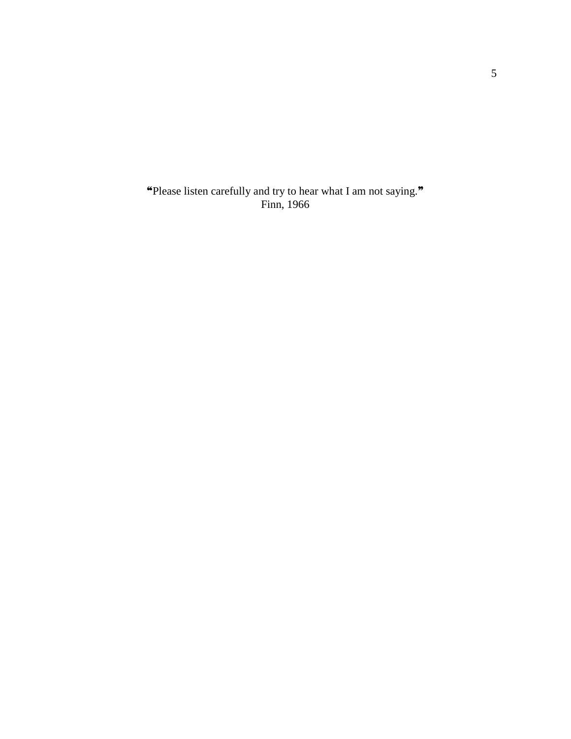❝Please listen carefully and try to hear what I am not saying.❞ Finn, 1966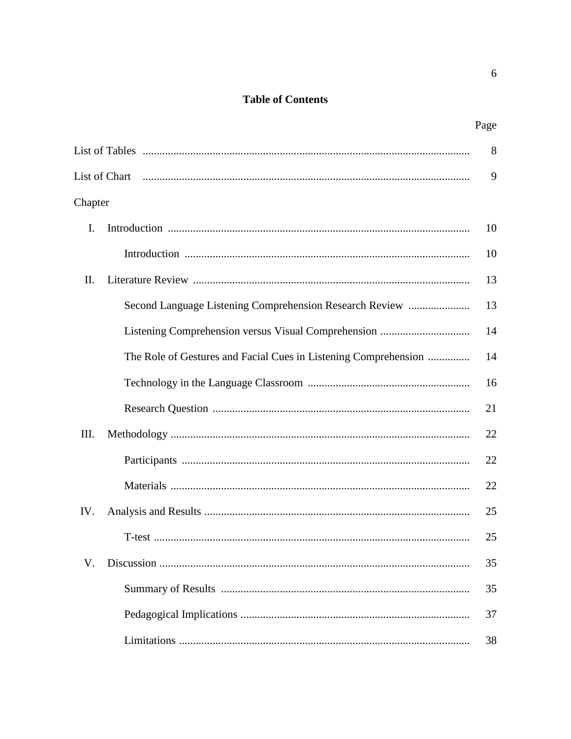# **Table of Contents**

| ×<br>٠ |
|--------|
|--------|

|         |                                                                 | 8  |
|---------|-----------------------------------------------------------------|----|
|         |                                                                 | 9  |
| Chapter |                                                                 |    |
| I.      |                                                                 | 10 |
|         |                                                                 | 10 |
| II.     |                                                                 | 13 |
|         | Second Language Listening Comprehension Research Review         | 13 |
|         |                                                                 | 14 |
|         | The Role of Gestures and Facial Cues in Listening Comprehension | 14 |
|         |                                                                 | 16 |
|         |                                                                 | 21 |
| Ш.      |                                                                 | 22 |
|         |                                                                 | 22 |
|         |                                                                 | 22 |
| IV.     |                                                                 | 25 |
|         |                                                                 | 25 |
|         |                                                                 | 35 |
|         |                                                                 | 35 |
|         |                                                                 | 37 |
|         |                                                                 | 38 |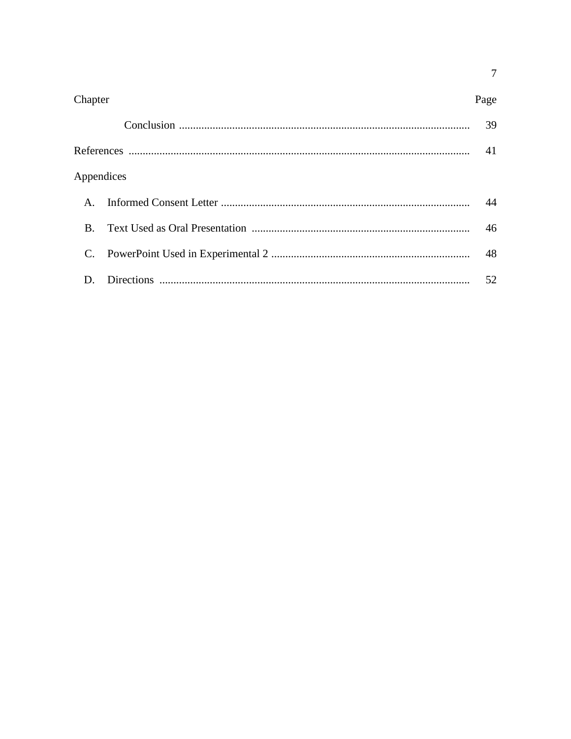| Chapter    | Page |
|------------|------|
|            | 39   |
|            | 41   |
| Appendices |      |
|            | 44   |
| $\bf{B}$   | 46   |
|            | 48   |
| D.         | 52   |

 $\overline{7}$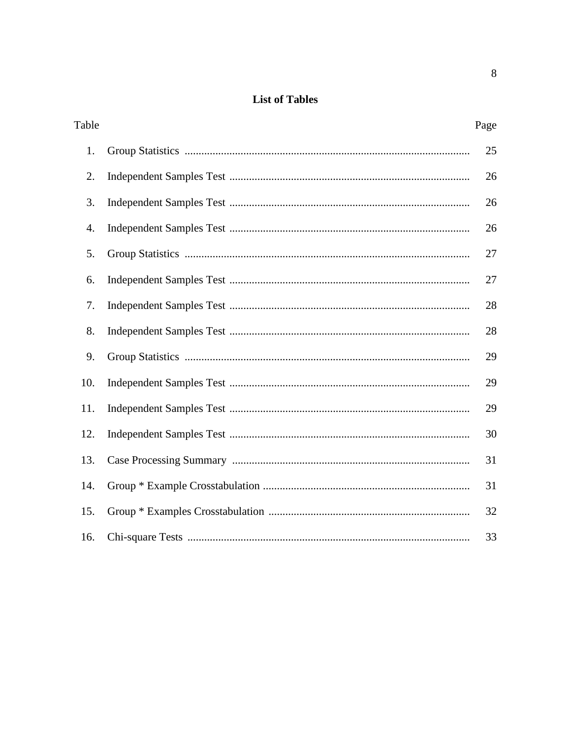# **List of Tables**

| Table | Page |
|-------|------|
| 1.    | 25   |
| 2.    | 26   |
| 3.    | 26   |
| 4.    | 26   |
| 5.    | 27   |
| 6.    | 27   |
| 7.    | 28   |
| 8.    | 28   |
| 9.    | 29   |
| 10.   | 29   |
| 11.   | 29   |
| 12.   | 30   |
| 13.   | 31   |
| 14.   | 31   |
| 15.   | 32   |
| 16.   | 33   |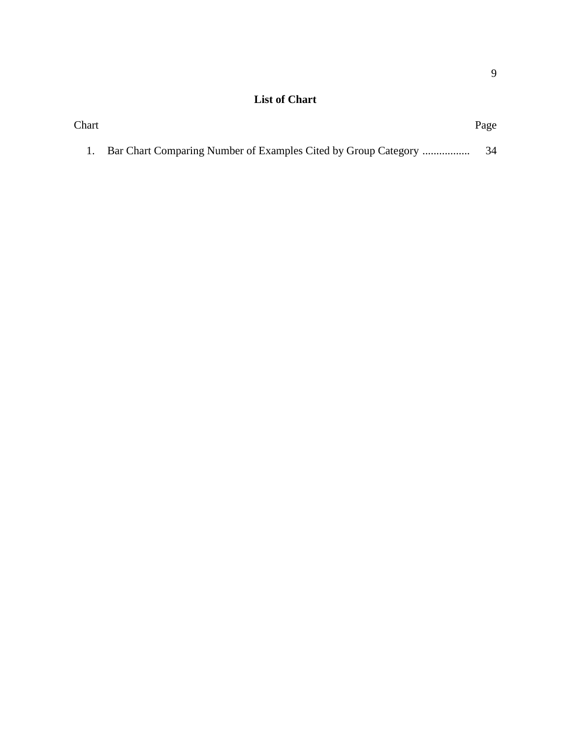# **List of Chart**

| Chart |                                                                | Page |
|-------|----------------------------------------------------------------|------|
|       | Bar Chart Comparing Number of Examples Cited by Group Category |      |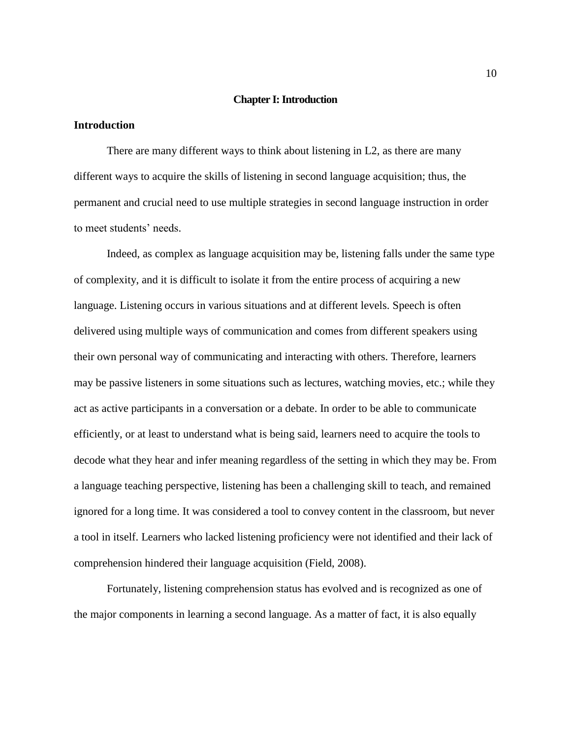### **Chapter I: Introduction**

### **Introduction**

There are many different ways to think about listening in L2, as there are many different ways to acquire the skills of listening in second language acquisition; thus, the permanent and crucial need to use multiple strategies in second language instruction in order to meet students' needs.

Indeed, as complex as language acquisition may be, listening falls under the same type of complexity, and it is difficult to isolate it from the entire process of acquiring a new language. Listening occurs in various situations and at different levels. Speech is often delivered using multiple ways of communication and comes from different speakers using their own personal way of communicating and interacting with others. Therefore, learners may be passive listeners in some situations such as lectures, watching movies, etc.; while they act as active participants in a conversation or a debate. In order to be able to communicate efficiently, or at least to understand what is being said, learners need to acquire the tools to decode what they hear and infer meaning regardless of the setting in which they may be. From a language teaching perspective, listening has been a challenging skill to teach, and remained ignored for a long time. It was considered a tool to convey content in the classroom, but never a tool in itself. Learners who lacked listening proficiency were not identified and their lack of comprehension hindered their language acquisition (Field, 2008).

Fortunately, listening comprehension status has evolved and is recognized as one of the major components in learning a second language. As a matter of fact, it is also equally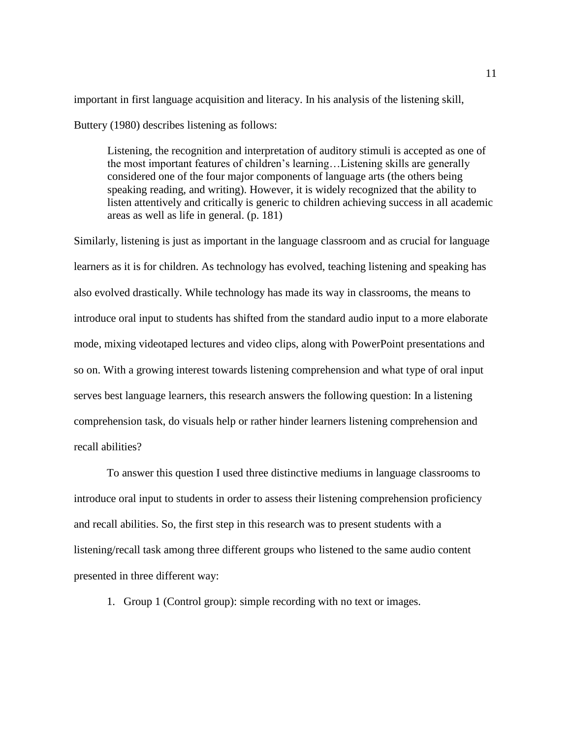important in first language acquisition and literacy. In his analysis of the listening skill,

Buttery (1980) describes listening as follows:

Listening, the recognition and interpretation of auditory stimuli is accepted as one of the most important features of children's learning…Listening skills are generally considered one of the four major components of language arts (the others being speaking reading, and writing). However, it is widely recognized that the ability to listen attentively and critically is generic to children achieving success in all academic areas as well as life in general. (p. 181)

Similarly, listening is just as important in the language classroom and as crucial for language learners as it is for children. As technology has evolved, teaching listening and speaking has also evolved drastically. While technology has made its way in classrooms, the means to introduce oral input to students has shifted from the standard audio input to a more elaborate mode, mixing videotaped lectures and video clips, along with PowerPoint presentations and so on. With a growing interest towards listening comprehension and what type of oral input serves best language learners, this research answers the following question: In a listening comprehension task, do visuals help or rather hinder learners listening comprehension and recall abilities?

To answer this question I used three distinctive mediums in language classrooms to introduce oral input to students in order to assess their listening comprehension proficiency and recall abilities. So, the first step in this research was to present students with a listening/recall task among three different groups who listened to the same audio content presented in three different way:

1. Group 1 (Control group): simple recording with no text or images.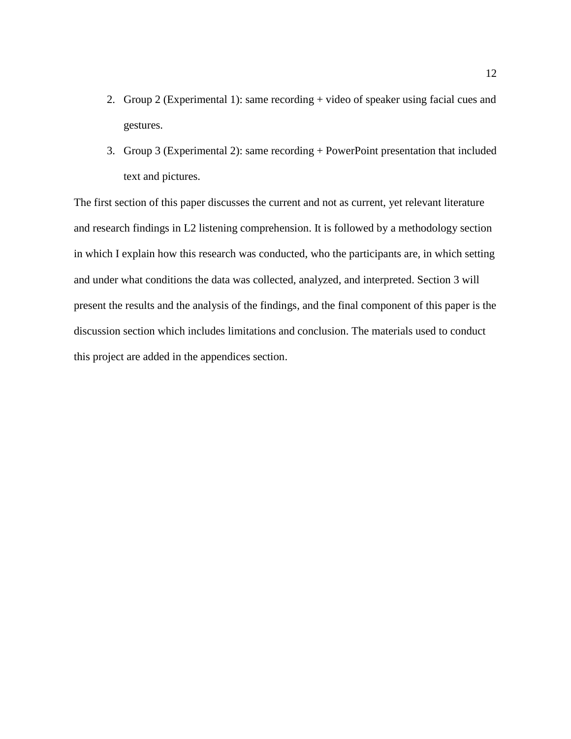- 2. Group 2 (Experimental 1): same recording + video of speaker using facial cues and gestures.
- 3. Group 3 (Experimental 2): same recording + PowerPoint presentation that included text and pictures.

The first section of this paper discusses the current and not as current, yet relevant literature and research findings in L2 listening comprehension. It is followed by a methodology section in which I explain how this research was conducted, who the participants are, in which setting and under what conditions the data was collected, analyzed, and interpreted. Section 3 will present the results and the analysis of the findings, and the final component of this paper is the discussion section which includes limitations and conclusion. The materials used to conduct this project are added in the appendices section.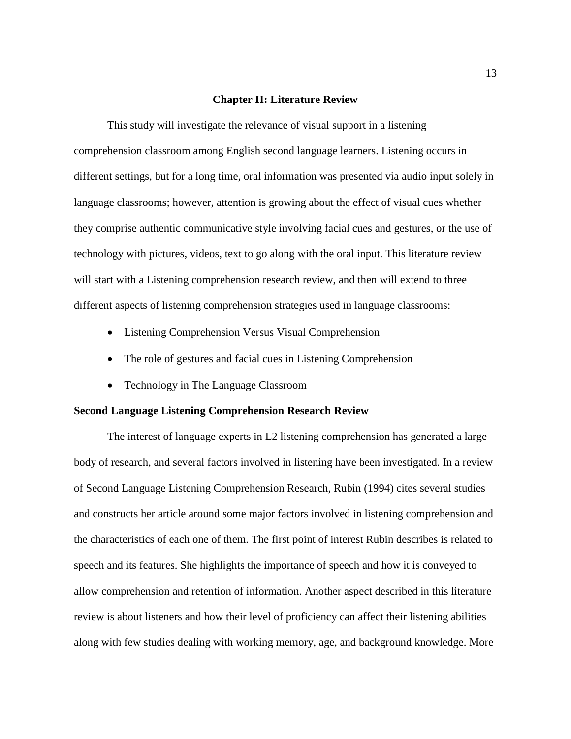### **Chapter II: Literature Review**

This study will investigate the relevance of visual support in a listening comprehension classroom among English second language learners. Listening occurs in different settings, but for a long time, oral information was presented via audio input solely in language classrooms; however, attention is growing about the effect of visual cues whether they comprise authentic communicative style involving facial cues and gestures, or the use of technology with pictures, videos, text to go along with the oral input. This literature review will start with a Listening comprehension research review, and then will extend to three different aspects of listening comprehension strategies used in language classrooms:

- Listening Comprehension Versus Visual Comprehension
- The role of gestures and facial cues in Listening Comprehension
- Technology in The Language Classroom

### **Second Language Listening Comprehension Research Review**

The interest of language experts in L2 listening comprehension has generated a large body of research, and several factors involved in listening have been investigated. In a review of Second Language Listening Comprehension Research, Rubin (1994) cites several studies and constructs her article around some major factors involved in listening comprehension and the characteristics of each one of them. The first point of interest Rubin describes is related to speech and its features. She highlights the importance of speech and how it is conveyed to allow comprehension and retention of information. Another aspect described in this literature review is about listeners and how their level of proficiency can affect their listening abilities along with few studies dealing with working memory, age, and background knowledge. More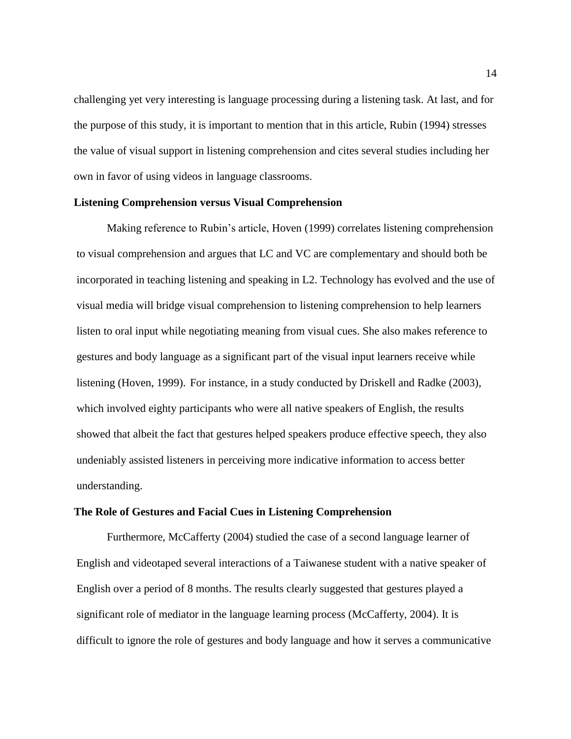challenging yet very interesting is language processing during a listening task. At last, and for the purpose of this study, it is important to mention that in this article, Rubin (1994) stresses the value of visual support in listening comprehension and cites several studies including her own in favor of using videos in language classrooms.

### **Listening Comprehension versus Visual Comprehension**

Making reference to Rubin's article, Hoven (1999) correlates listening comprehension to visual comprehension and argues that LC and VC are complementary and should both be incorporated in teaching listening and speaking in L2. Technology has evolved and the use of visual media will bridge visual comprehension to listening comprehension to help learners listen to oral input while negotiating meaning from visual cues. She also makes reference to gestures and body language as a significant part of the visual input learners receive while listening (Hoven, 1999). For instance, in a study conducted by Driskell and Radke (2003), which involved eighty participants who were all native speakers of English, the results showed that albeit the fact that gestures helped speakers produce effective speech, they also undeniably assisted listeners in perceiving more indicative information to access better understanding.

### **The Role of Gestures and Facial Cues in Listening Comprehension**

Furthermore, McCafferty (2004) studied the case of a second language learner of English and videotaped several interactions of a Taiwanese student with a native speaker of English over a period of 8 months. The results clearly suggested that gestures played a significant role of mediator in the language learning process (McCafferty, 2004). It is difficult to ignore the role of gestures and body language and how it serves a communicative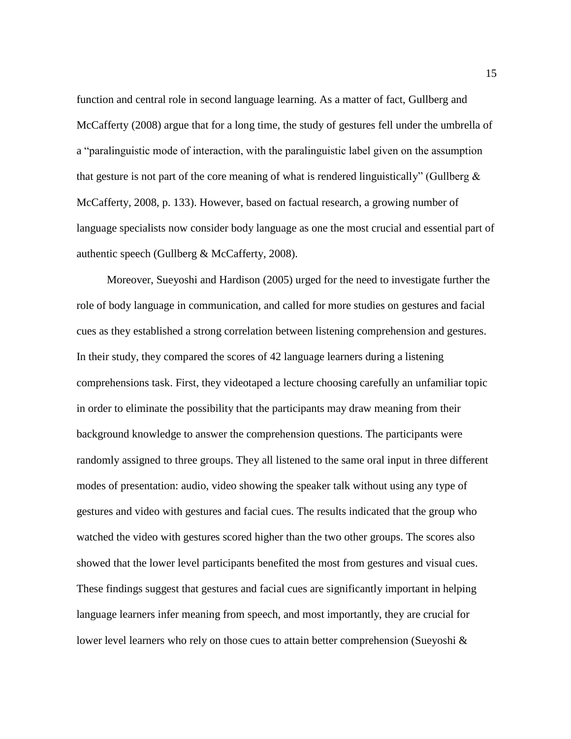function and central role in second language learning. As a matter of fact, Gullberg and McCafferty (2008) argue that for a long time, the study of gestures fell under the umbrella of a "paralinguistic mode of interaction, with the paralinguistic label given on the assumption that gesture is not part of the core meaning of what is rendered linguistically" (Gullberg  $\&$ McCafferty, 2008, p. 133). However, based on factual research, a growing number of language specialists now consider body language as one the most crucial and essential part of authentic speech (Gullberg & McCafferty, 2008).

Moreover, Sueyoshi and Hardison (2005) urged for the need to investigate further the role of body language in communication, and called for more studies on gestures and facial cues as they established a strong correlation between listening comprehension and gestures. In their study, they compared the scores of 42 language learners during a listening comprehensions task. First, they videotaped a lecture choosing carefully an unfamiliar topic in order to eliminate the possibility that the participants may draw meaning from their background knowledge to answer the comprehension questions. The participants were randomly assigned to three groups. They all listened to the same oral input in three different modes of presentation: audio, video showing the speaker talk without using any type of gestures and video with gestures and facial cues. The results indicated that the group who watched the video with gestures scored higher than the two other groups. The scores also showed that the lower level participants benefited the most from gestures and visual cues. These findings suggest that gestures and facial cues are significantly important in helping language learners infer meaning from speech, and most importantly, they are crucial for lower level learners who rely on those cues to attain better comprehension (Sueyoshi  $\&$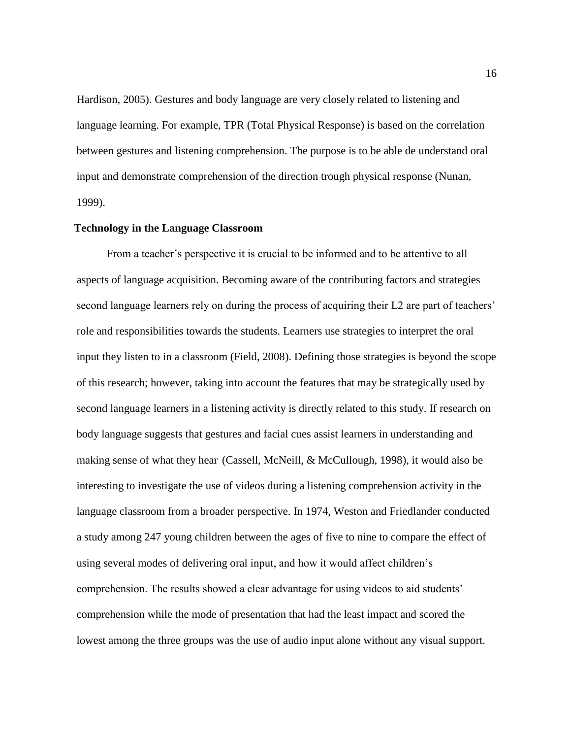Hardison, 2005). Gestures and body language are very closely related to listening and language learning. For example, TPR (Total Physical Response) is based on the correlation between gestures and listening comprehension. The purpose is to be able de understand oral input and demonstrate comprehension of the direction trough physical response (Nunan, 1999).

### **Technology in the Language Classroom**

From a teacher's perspective it is crucial to be informed and to be attentive to all aspects of language acquisition. Becoming aware of the contributing factors and strategies second language learners rely on during the process of acquiring their L2 are part of teachers' role and responsibilities towards the students. Learners use strategies to interpret the oral input they listen to in a classroom (Field, 2008). Defining those strategies is beyond the scope of this research; however, taking into account the features that may be strategically used by second language learners in a listening activity is directly related to this study. If research on body language suggests that gestures and facial cues assist learners in understanding and making sense of what they hear (Cassell, McNeill, & McCullough, 1998), it would also be interesting to investigate the use of videos during a listening comprehension activity in the language classroom from a broader perspective. In 1974, Weston and Friedlander conducted a study among 247 young children between the ages of five to nine to compare the effect of using several modes of delivering oral input, and how it would affect children's comprehension. The results showed a clear advantage for using videos to aid students' comprehension while the mode of presentation that had the least impact and scored the lowest among the three groups was the use of audio input alone without any visual support.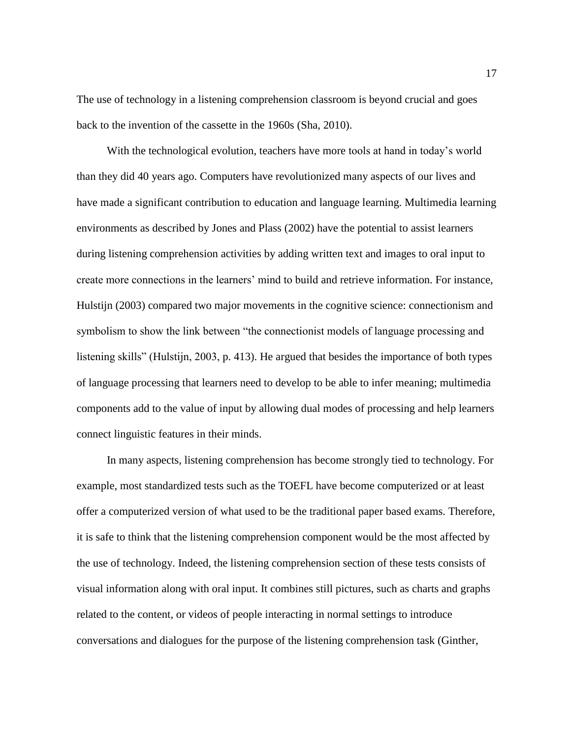The use of technology in a listening comprehension classroom is beyond crucial and goes back to the invention of the cassette in the 1960s (Sha, 2010).

With the technological evolution, teachers have more tools at hand in today's world than they did 40 years ago. Computers have revolutionized many aspects of our lives and have made a significant contribution to education and language learning. Multimedia learning environments as described by Jones and Plass (2002) have the potential to assist learners during listening comprehension activities by adding written text and images to oral input to create more connections in the learners' mind to build and retrieve information. For instance, Hulstijn (2003) compared two major movements in the cognitive science: connectionism and symbolism to show the link between "the connectionist models of language processing and listening skills" (Hulstijn, 2003, p. 413). He argued that besides the importance of both types of language processing that learners need to develop to be able to infer meaning; multimedia components add to the value of input by allowing dual modes of processing and help learners connect linguistic features in their minds.

In many aspects, listening comprehension has become strongly tied to technology. For example, most standardized tests such as the TOEFL have become computerized or at least offer a computerized version of what used to be the traditional paper based exams. Therefore, it is safe to think that the listening comprehension component would be the most affected by the use of technology. Indeed, the listening comprehension section of these tests consists of visual information along with oral input. It combines still pictures, such as charts and graphs related to the content, or videos of people interacting in normal settings to introduce conversations and dialogues for the purpose of the listening comprehension task (Ginther,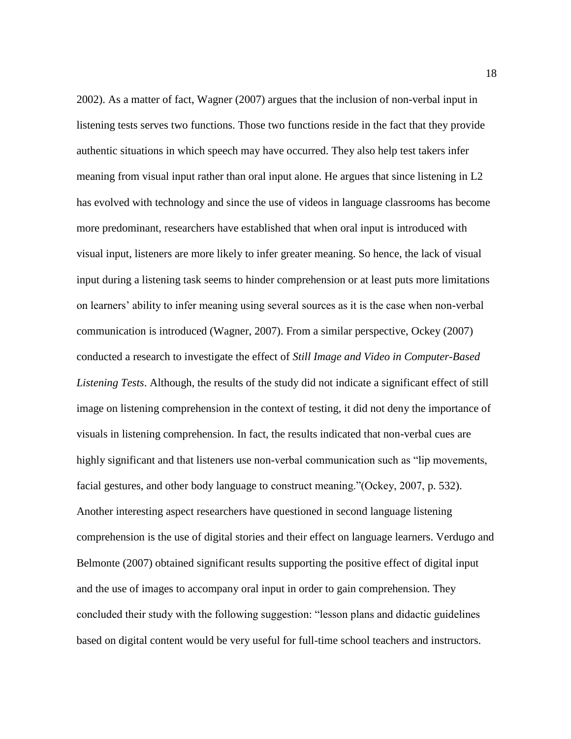2002). As a matter of fact, Wagner (2007) argues that the inclusion of non-verbal input in listening tests serves two functions. Those two functions reside in the fact that they provide authentic situations in which speech may have occurred. They also help test takers infer meaning from visual input rather than oral input alone. He argues that since listening in L2 has evolved with technology and since the use of videos in language classrooms has become more predominant, researchers have established that when oral input is introduced with visual input, listeners are more likely to infer greater meaning. So hence, the lack of visual input during a listening task seems to hinder comprehension or at least puts more limitations on learners' ability to infer meaning using several sources as it is the case when non-verbal communication is introduced (Wagner, 2007). From a similar perspective, Ockey (2007) conducted a research to investigate the effect of *Still Image and Video in Computer-Based Listening Tests*. Although, the results of the study did not indicate a significant effect of still image on listening comprehension in the context of testing, it did not deny the importance of visuals in listening comprehension. In fact, the results indicated that non-verbal cues are highly significant and that listeners use non-verbal communication such as "lip movements, facial gestures, and other body language to construct meaning."(Ockey, 2007, p. 532). Another interesting aspect researchers have questioned in second language listening comprehension is the use of digital stories and their effect on language learners. Verdugo and Belmonte (2007) obtained significant results supporting the positive effect of digital input and the use of images to accompany oral input in order to gain comprehension. They concluded their study with the following suggestion: "lesson plans and didactic guidelines based on digital content would be very useful for full-time school teachers and instructors.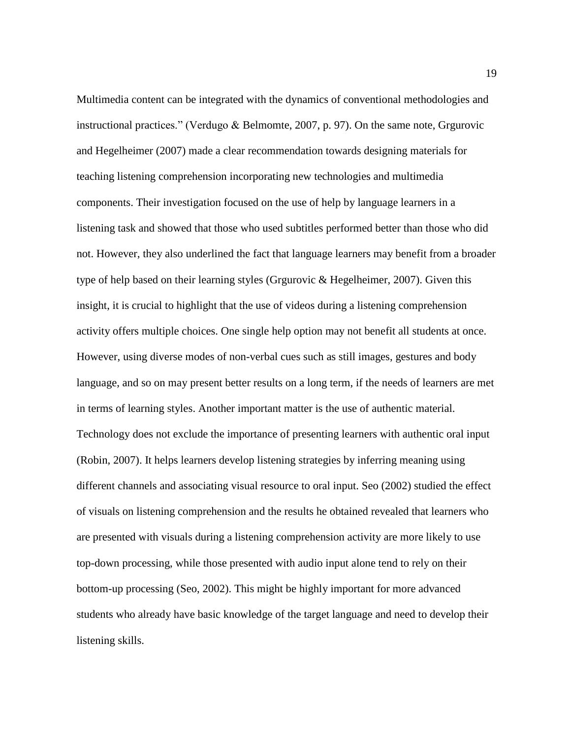Multimedia content can be integrated with the dynamics of conventional methodologies and instructional practices." (Verdugo & Belmomte, 2007, p. 97). On the same note, Grgurovic and Hegelheimer (2007) made a clear recommendation towards designing materials for teaching listening comprehension incorporating new technologies and multimedia components. Their investigation focused on the use of help by language learners in a listening task and showed that those who used subtitles performed better than those who did not. However, they also underlined the fact that language learners may benefit from a broader type of help based on their learning styles (Grgurovic & Hegelheimer, 2007). Given this insight, it is crucial to highlight that the use of videos during a listening comprehension activity offers multiple choices. One single help option may not benefit all students at once. However, using diverse modes of non-verbal cues such as still images, gestures and body language, and so on may present better results on a long term, if the needs of learners are met in terms of learning styles. Another important matter is the use of authentic material. Technology does not exclude the importance of presenting learners with authentic oral input (Robin, 2007). It helps learners develop listening strategies by inferring meaning using different channels and associating visual resource to oral input. Seo (2002) studied the effect of visuals on listening comprehension and the results he obtained revealed that learners who are presented with visuals during a listening comprehension activity are more likely to use top-down processing, while those presented with audio input alone tend to rely on their bottom-up processing (Seo, 2002). This might be highly important for more advanced students who already have basic knowledge of the target language and need to develop their listening skills.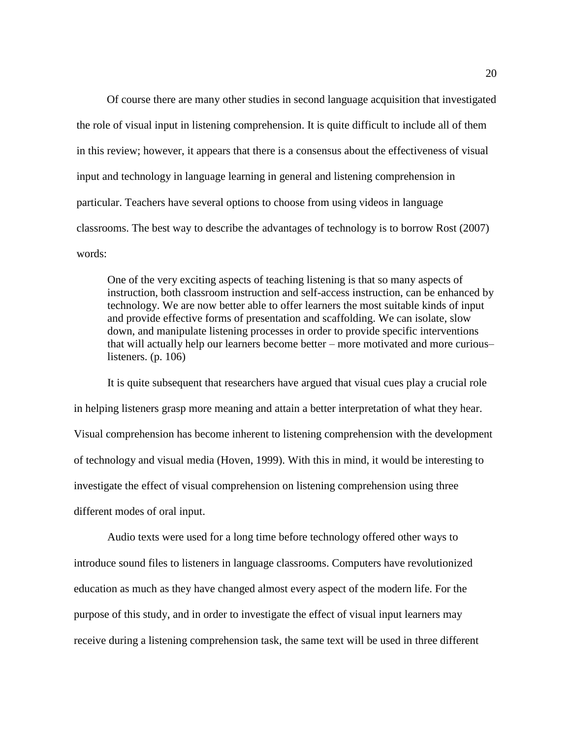Of course there are many other studies in second language acquisition that investigated the role of visual input in listening comprehension. It is quite difficult to include all of them in this review; however, it appears that there is a consensus about the effectiveness of visual input and technology in language learning in general and listening comprehension in particular. Teachers have several options to choose from using videos in language classrooms. The best way to describe the advantages of technology is to borrow Rost (2007) words:

One of the very exciting aspects of teaching listening is that so many aspects of instruction, both classroom instruction and self-access instruction, can be enhanced by technology. We are now better able to offer learners the most suitable kinds of input and provide effective forms of presentation and scaffolding. We can isolate, slow down, and manipulate listening processes in order to provide specific interventions that will actually help our learners become better – more motivated and more curious– listeners. (p. 106)

It is quite subsequent that researchers have argued that visual cues play a crucial role in helping listeners grasp more meaning and attain a better interpretation of what they hear. Visual comprehension has become inherent to listening comprehension with the development of technology and visual media (Hoven, 1999). With this in mind, it would be interesting to investigate the effect of visual comprehension on listening comprehension using three different modes of oral input.

Audio texts were used for a long time before technology offered other ways to introduce sound files to listeners in language classrooms. Computers have revolutionized education as much as they have changed almost every aspect of the modern life. For the purpose of this study, and in order to investigate the effect of visual input learners may receive during a listening comprehension task, the same text will be used in three different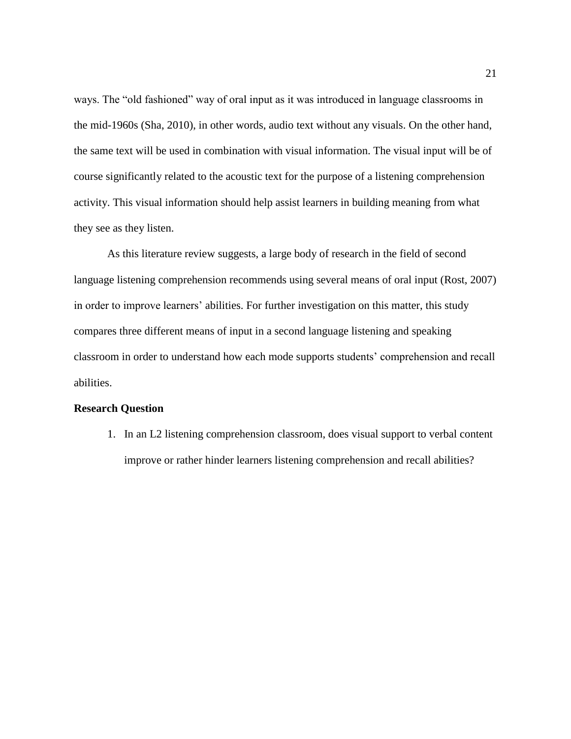ways. The "old fashioned" way of oral input as it was introduced in language classrooms in the mid-1960s (Sha, 2010), in other words, audio text without any visuals. On the other hand, the same text will be used in combination with visual information. The visual input will be of course significantly related to the acoustic text for the purpose of a listening comprehension activity. This visual information should help assist learners in building meaning from what they see as they listen.

As this literature review suggests, a large body of research in the field of second language listening comprehension recommends using several means of oral input (Rost, 2007) in order to improve learners' abilities. For further investigation on this matter, this study compares three different means of input in a second language listening and speaking classroom in order to understand how each mode supports students' comprehension and recall abilities.

### **Research Question**

1. In an L2 listening comprehension classroom, does visual support to verbal content improve or rather hinder learners listening comprehension and recall abilities?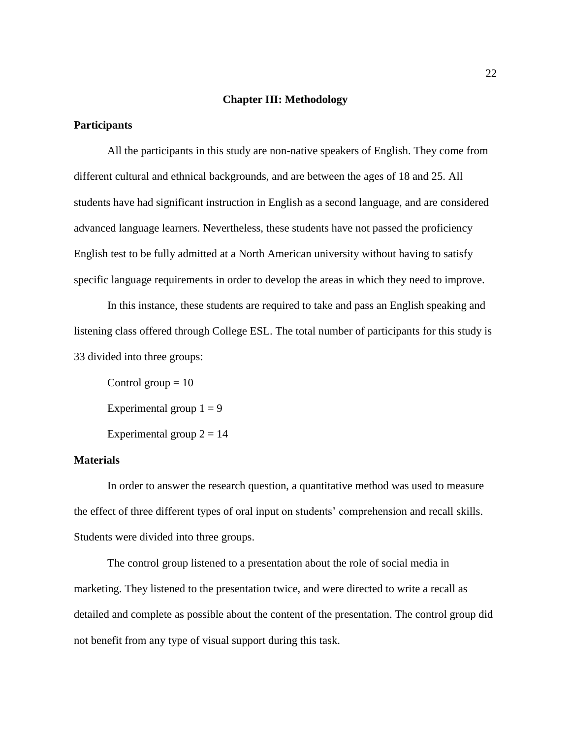### **Chapter III: Methodology**

### **Participants**

All the participants in this study are non-native speakers of English. They come from different cultural and ethnical backgrounds, and are between the ages of 18 and 25. All students have had significant instruction in English as a second language, and are considered advanced language learners. Nevertheless, these students have not passed the proficiency English test to be fully admitted at a North American university without having to satisfy specific language requirements in order to develop the areas in which they need to improve.

In this instance, these students are required to take and pass an English speaking and listening class offered through College ESL. The total number of participants for this study is 33 divided into three groups:

Control group  $= 10$ Experimental group  $1 = 9$ Experimental group  $2 = 14$ 

### **Materials**

In order to answer the research question, a quantitative method was used to measure the effect of three different types of oral input on students' comprehension and recall skills. Students were divided into three groups.

The control group listened to a presentation about the role of social media in marketing. They listened to the presentation twice, and were directed to write a recall as detailed and complete as possible about the content of the presentation. The control group did not benefit from any type of visual support during this task.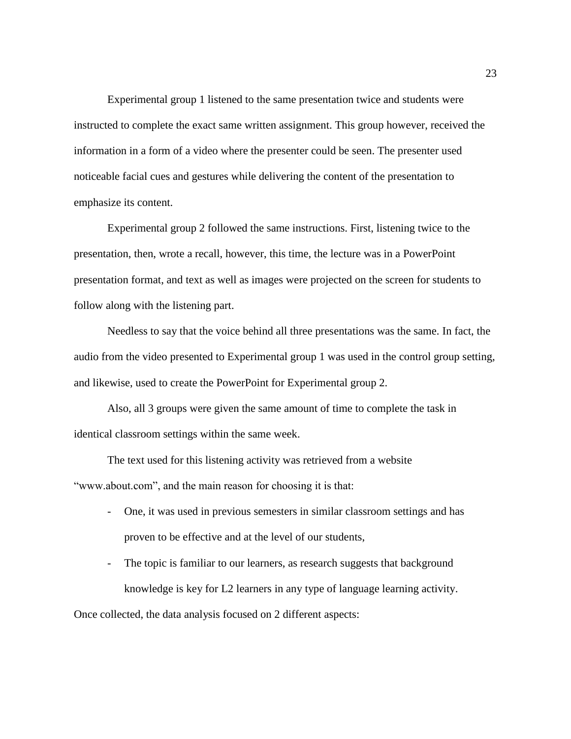Experimental group 1 listened to the same presentation twice and students were instructed to complete the exact same written assignment. This group however, received the information in a form of a video where the presenter could be seen. The presenter used noticeable facial cues and gestures while delivering the content of the presentation to emphasize its content.

Experimental group 2 followed the same instructions. First, listening twice to the presentation, then, wrote a recall, however, this time, the lecture was in a PowerPoint presentation format, and text as well as images were projected on the screen for students to follow along with the listening part.

Needless to say that the voice behind all three presentations was the same. In fact, the audio from the video presented to Experimental group 1 was used in the control group setting, and likewise, used to create the PowerPoint for Experimental group 2.

Also, all 3 groups were given the same amount of time to complete the task in identical classroom settings within the same week.

The text used for this listening activity was retrieved from a website "www.about.com", and the main reason for choosing it is that:

- One, it was used in previous semesters in similar classroom settings and has proven to be effective and at the level of our students,
- The topic is familiar to our learners, as research suggests that background knowledge is key for L2 learners in any type of language learning activity.

Once collected, the data analysis focused on 2 different aspects: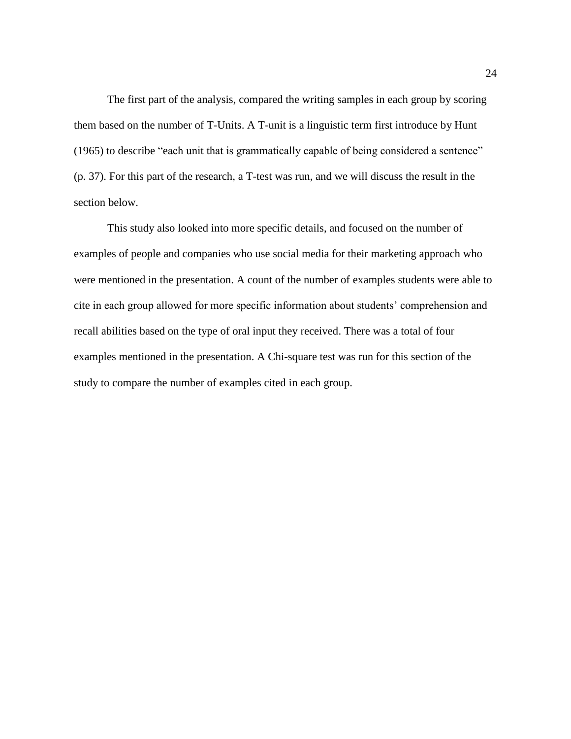The first part of the analysis, compared the writing samples in each group by scoring them based on the number of T-Units. A T-unit is a linguistic term first introduce by Hunt (1965) to describe "each unit that is grammatically capable of being considered a sentence" (p. 37). For this part of the research, a T-test was run, and we will discuss the result in the section below.

This study also looked into more specific details, and focused on the number of examples of people and companies who use social media for their marketing approach who were mentioned in the presentation. A count of the number of examples students were able to cite in each group allowed for more specific information about students' comprehension and recall abilities based on the type of oral input they received. There was a total of four examples mentioned in the presentation. A Chi-square test was run for this section of the study to compare the number of examples cited in each group.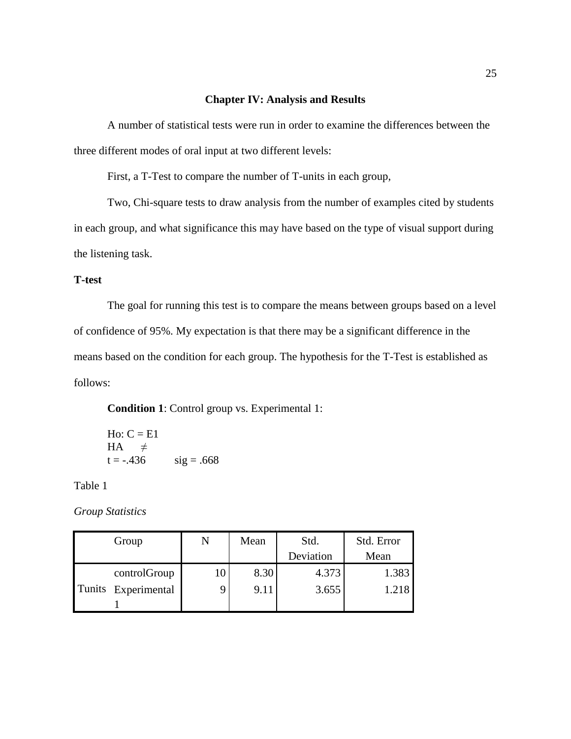### **Chapter IV: Analysis and Results**

A number of statistical tests were run in order to examine the differences between the three different modes of oral input at two different levels:

First, a T-Test to compare the number of T-units in each group,

Two, Chi-square tests to draw analysis from the number of examples cited by students in each group, and what significance this may have based on the type of visual support during the listening task.

### **T-test**

The goal for running this test is to compare the means between groups based on a level of confidence of 95%. My expectation is that there may be a significant difference in the means based on the condition for each group. The hypothesis for the T-Test is established as follows:

**Condition 1**: Control group vs. Experimental 1:

Ho: C = E1

\nHA

\n
$$
\neq
$$
\nt = -.436

\nsig = .668

Table 1

*Group Statistics*

| Group               | Mean | Std.      | Std. Error |
|---------------------|------|-----------|------------|
|                     |      | Deviation | Mean       |
| controlGroup        | 8.30 | 4.373     | 1.383      |
| Tunits Experimental | 9.11 | 3.655     | 1.218      |
|                     |      |           |            |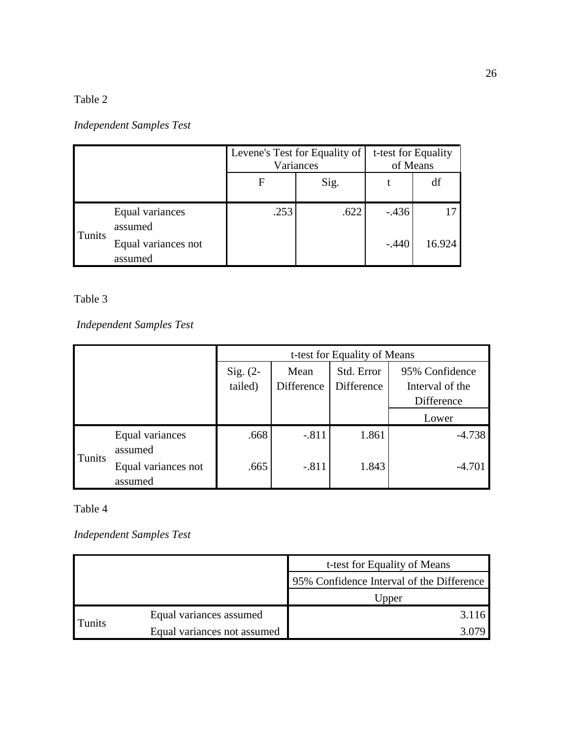# *Independent Samples Test*

|        |                                | Levene's Test for Equality of<br>Variances |      | t-test for Equality<br>of Means |        |
|--------|--------------------------------|--------------------------------------------|------|---------------------------------|--------|
|        |                                | F                                          | Sig. |                                 | df     |
| Tunits | Equal variances<br>assumed     | .253                                       | .622 | $-.436$                         |        |
|        | Equal variances not<br>assumed |                                            |      | $-.440$                         | 16.924 |

# Table 3

*Independent Samples Test*

|        |                                | t-test for Equality of Means |            |            |                 |  |
|--------|--------------------------------|------------------------------|------------|------------|-----------------|--|
|        |                                | Sig. $(2-$                   | Mean       | Std. Error | 95% Confidence  |  |
|        |                                | tailed)                      | Difference | Difference | Interval of the |  |
|        |                                |                              |            |            | Difference      |  |
|        |                                |                              |            |            | Lower           |  |
|        | Equal variances<br>assumed     | .668                         | $-.811$    | 1.861      | $-4.738$        |  |
| Tunits | Equal variances not<br>assumed | .665                         | $-.811$    | 1.843      | $-4.701$        |  |

### Table 4

*Independent Samples Test*

|        |                             | t-test for Equality of Means              |
|--------|-----------------------------|-------------------------------------------|
|        |                             | 95% Confidence Interval of the Difference |
|        |                             | Upper                                     |
|        | Equal variances assumed     | 3.116                                     |
| Tunits | Equal variances not assumed |                                           |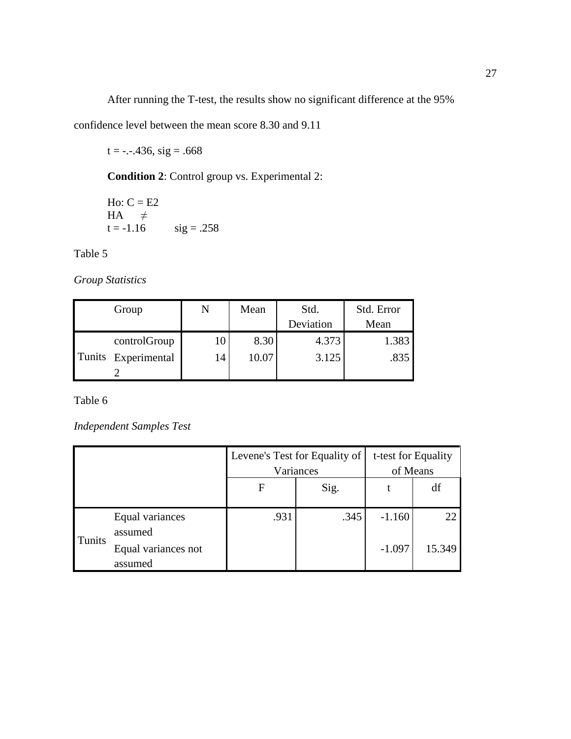After running the T-test, the results show no significant difference at the 95%

confidence level between the mean score 8.30 and 9.11

 $t = -.436$ , sig = .668

**Condition 2**: Control group vs. Experimental 2:

Ho:  $C = E2$  $HA$   $\neq$ <br>t = -1.16  $sig = .258$ 

Table 5

*Group Statistics*

| Group               | N  | Mean  | Std.      | Std. Error |
|---------------------|----|-------|-----------|------------|
|                     |    |       | Deviation | Mean       |
| controlGroup        |    | 8.30  | 4.373     | 1.383      |
| Tunits Experimental | 14 | 10.07 | 3.125     | .835       |
|                     |    |       |           |            |

Table 6

*Independent Samples Test*

|        |                                | Levene's Test for Equality of<br>Variances |      | t-test for Equality<br>of Means |        |
|--------|--------------------------------|--------------------------------------------|------|---------------------------------|--------|
|        |                                | F                                          | Sig. |                                 | df     |
|        | Equal variances<br>assumed     | .931                                       | .345 | $-1.160$                        | 22     |
| Tunits | Equal variances not<br>assumed |                                            |      | $-1.097$                        | 15.349 |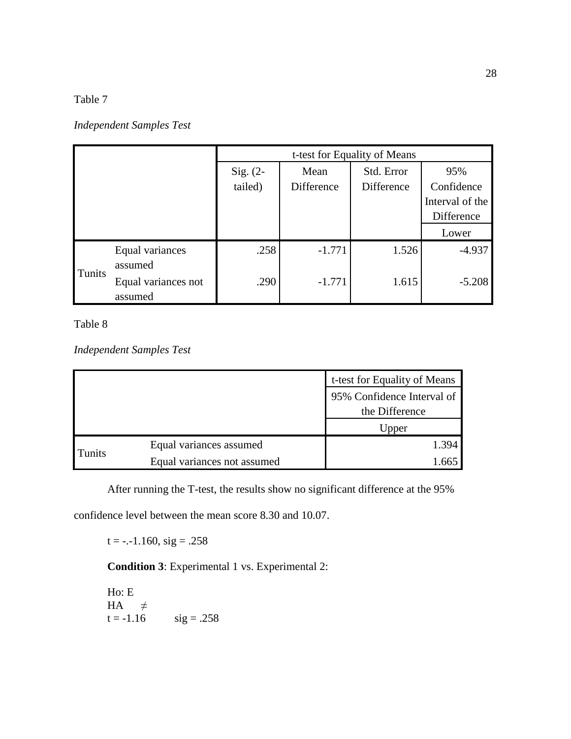### *Independent Samples Test*

|        |                     |            | t-test for Equality of Means |            |                 |  |  |
|--------|---------------------|------------|------------------------------|------------|-----------------|--|--|
|        |                     | Sig. $(2-$ | Mean                         | Std. Error | 95%             |  |  |
|        |                     | tailed)    | Difference                   | Difference | Confidence      |  |  |
|        |                     |            |                              |            | Interval of the |  |  |
|        |                     |            |                              |            | Difference      |  |  |
|        |                     |            |                              |            | Lower           |  |  |
|        | Equal variances     | .258       | $-1.771$                     | 1.526      | $-4.937$        |  |  |
| Tunits | assumed             |            |                              |            |                 |  |  |
|        | Equal variances not | .290       | $-1.771$                     | 1.615      | $-5.208$        |  |  |
|        | assumed             |            |                              |            |                 |  |  |

Table 8

*Independent Samples Test*

|               |                             | t-test for Equality of Means |
|---------------|-----------------------------|------------------------------|
|               |                             | 95% Confidence Interval of   |
|               |                             | the Difference               |
|               |                             | Upper                        |
|               | Equal variances assumed     | 1.394                        |
| <b>Tunits</b> | Equal variances not assumed | 66 <sup>.</sup>              |

After running the T-test, the results show no significant difference at the 95%

confidence level between the mean score 8.30 and 10.07.

 $t = -.1.160$ ,  $sig = .258$ 

**Condition 3**: Experimental 1 vs. Experimental 2:

Ho: E  $HA$   $\neq$ <br>t = -1.16  $sig = .258$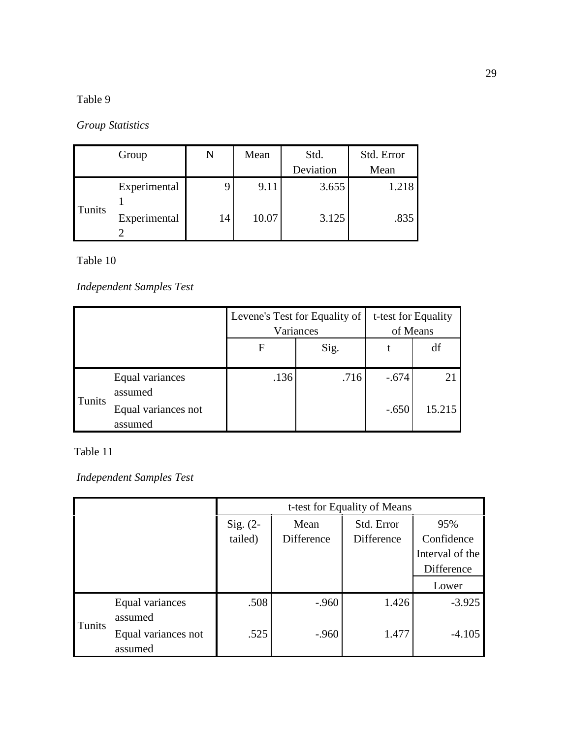# *Group Statistics*

| Group  |              | N  | Mean  | Std.      | Std. Error |
|--------|--------------|----|-------|-----------|------------|
|        |              |    |       | Deviation | Mean       |
|        | Experimental |    | 9.11  | 3.655     | 1.218      |
| Tunits | Experimental | 14 | 10.07 | 3.125     | .835       |

Table 10

# *Independent Samples Test*

|               |                     |      | Levene's Test for Equality of | t-test for Equality<br>of Means |        |
|---------------|---------------------|------|-------------------------------|---------------------------------|--------|
|               |                     |      | Variances                     |                                 |        |
|               | F                   |      | Sig.                          |                                 | df     |
|               |                     |      |                               |                                 |        |
|               | Equal variances     | .136 | .716                          | $-.674$                         | 21     |
| <b>Tunits</b> | assumed             |      |                               |                                 |        |
|               | Equal variances not |      |                               | $-.650$                         | 15.215 |
|               | assumed             |      |                               |                                 |        |

Table 11

*Independent Samples Test*

|        |                     | t-test for Equality of Means |            |            |                 |
|--------|---------------------|------------------------------|------------|------------|-----------------|
|        |                     | Sig. $(2-$                   | Mean       | Std. Error | 95%             |
|        |                     | tailed)                      | Difference | Difference | Confidence      |
|        |                     |                              |            |            | Interval of the |
|        |                     |                              |            |            | Difference      |
|        |                     |                              |            |            | Lower           |
|        | Equal variances     | .508                         | $-.960$    | 1.426      | $-3.925$        |
| Tunits | assumed             |                              |            |            |                 |
|        | Equal variances not | .525                         | $-.960$    | 1.477      | $-4.105$        |
|        | assumed             |                              |            |            |                 |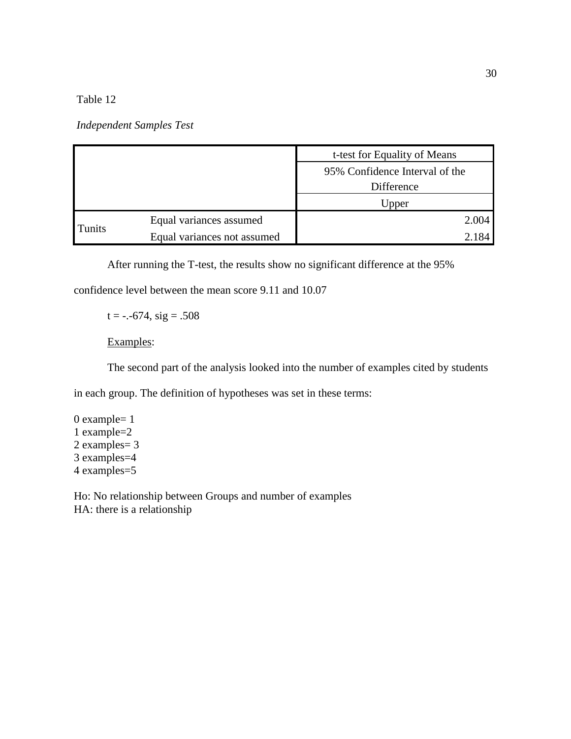*Independent Samples Test*

|        |                             | t-test for Equality of Means   |  |
|--------|-----------------------------|--------------------------------|--|
|        |                             | 95% Confidence Interval of the |  |
|        |                             | Difference                     |  |
|        |                             | Upper                          |  |
|        | Equal variances assumed     | 2.004                          |  |
| Tunits | Equal variances not assumed |                                |  |

After running the T-test, the results show no significant difference at the 95%

confidence level between the mean score 9.11 and 10.07

 $t = -.674$ ,  $sig = .508$ 

### Examples:

The second part of the analysis looked into the number of examples cited by students

in each group. The definition of hypotheses was set in these terms:

0 example= 1 1 example=2 2 examples= 3 3 examples=4 4 examples=5

Ho: No relationship between Groups and number of examples HA: there is a relationship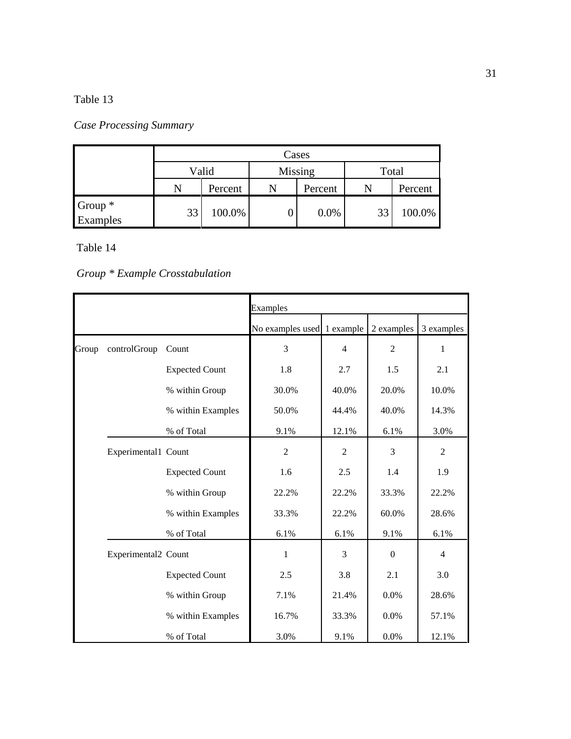# *Case Processing Summary*

|                     | Cases            |         |       |         |    |         |  |
|---------------------|------------------|---------|-------|---------|----|---------|--|
|                     | Valid<br>Missing |         | Total |         |    |         |  |
|                     |                  | Percent |       | Percent |    | Percent |  |
| Group *<br>Examples | 33               | 100.0%  |       | 0.0%    | 33 | 100.0%  |  |

# Table 14

# *Group \* Example Crosstabulation*

|       |                     |                       | Examples                   |                |                  |                |
|-------|---------------------|-----------------------|----------------------------|----------------|------------------|----------------|
|       |                     |                       | No examples used 1 example |                | 2 examples       | 3 examples     |
| Group | controlGroup        | Count                 | 3                          | $\overline{4}$ | $\overline{2}$   | 1              |
|       |                     | <b>Expected Count</b> | 1.8                        | 2.7            | 1.5              | 2.1            |
|       |                     | % within Group        | 30.0%                      | 40.0%          | 20.0%            | 10.0%          |
|       |                     | % within Examples     | 50.0%                      | 44.4%          | 40.0%            | 14.3%          |
|       |                     | % of Total            | 9.1%                       | 12.1%          | 6.1%             | 3.0%           |
|       | Experimental1 Count |                       | $\overline{2}$             | $\overline{2}$ | 3                | $\overline{2}$ |
|       |                     | <b>Expected Count</b> | 1.6                        | 2.5            | 1.4              | 1.9            |
|       |                     | % within Group        | 22.2%                      | 22.2%          | 33.3%            | 22.2%          |
|       |                     | % within Examples     | 33.3%                      | 22.2%          | 60.0%            | 28.6%          |
|       |                     | % of Total            | 6.1%                       | 6.1%           | 9.1%             | 6.1%           |
|       | Experimental2 Count |                       | $\mathbf{1}$               | 3              | $\boldsymbol{0}$ | $\overline{4}$ |
|       |                     | <b>Expected Count</b> | 2.5                        | 3.8            | 2.1              | 3.0            |
|       |                     | % within Group        | 7.1%                       | 21.4%          | 0.0%             | 28.6%          |
|       |                     | % within Examples     | 16.7%                      | 33.3%          | 0.0%             | 57.1%          |
|       |                     | % of Total            | 3.0%                       | 9.1%           | 0.0%             | 12.1%          |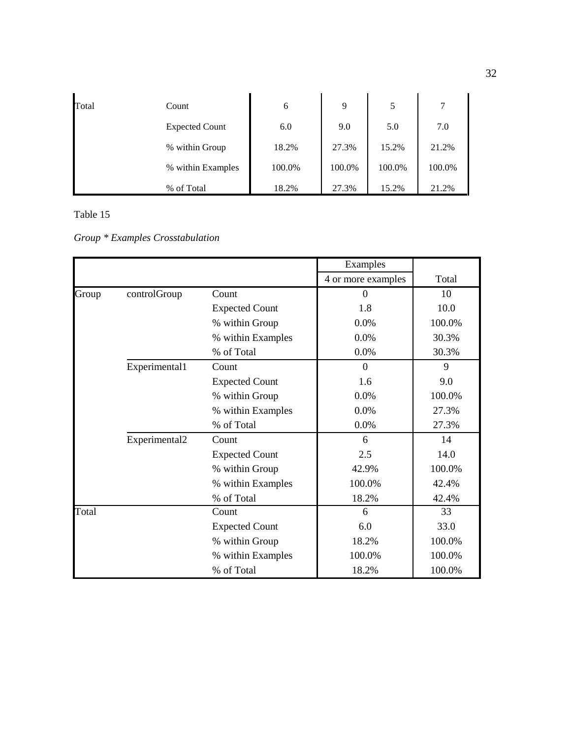| Total | Count                 | 6      | 9      | 5      | 7      |
|-------|-----------------------|--------|--------|--------|--------|
|       | <b>Expected Count</b> | 6.0    | 9.0    | 5.0    | 7.0    |
|       | % within Group        | 18.2%  | 27.3%  | 15.2%  | 21.2%  |
|       | % within Examples     | 100.0% | 100.0% | 100.0% | 100.0% |
|       | % of Total            | 18.2%  | 27.3%  | 15.2%  | 21.2%  |

|       |               |                       | Examples           |        |
|-------|---------------|-----------------------|--------------------|--------|
|       |               |                       | 4 or more examples | Total  |
| Group | controlGroup  | Count                 | $\overline{0}$     | 10     |
|       |               | <b>Expected Count</b> | 1.8                | 10.0   |
|       |               | % within Group        | 0.0%               | 100.0% |
|       |               | % within Examples     | 0.0%               | 30.3%  |
|       |               | % of Total            | 0.0%               | 30.3%  |
|       | Experimental1 | Count                 | $\Omega$           | 9      |
|       |               | <b>Expected Count</b> | 1.6                | 9.0    |
|       |               | % within Group        | 0.0%               | 100.0% |
|       |               | % within Examples     | 0.0%               | 27.3%  |
|       |               | % of Total            | 0.0%               | 27.3%  |
|       | Experimental2 | Count                 | 6                  | 14     |
|       |               | <b>Expected Count</b> | 2.5                | 14.0   |
|       |               | % within Group        | 42.9%              | 100.0% |
|       |               | % within Examples     | 100.0%             | 42.4%  |
|       |               | % of Total            | 18.2%              | 42.4%  |
| Total |               | Count                 | 6                  | 33     |
|       |               | <b>Expected Count</b> | 6.0                | 33.0   |
|       |               | % within Group        | 18.2%              | 100.0% |
|       |               | % within Examples     | 100.0%             | 100.0% |
|       |               | % of Total            | 18.2%              | 100.0% |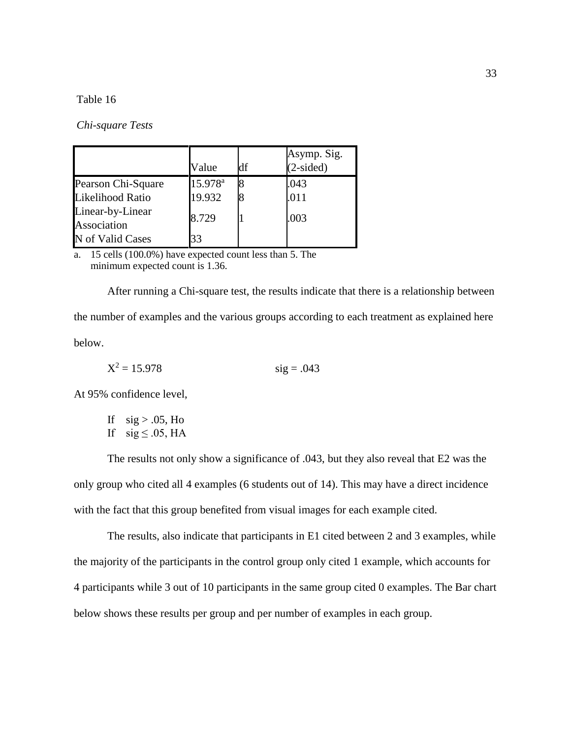*Chi-square Tests*

|                                 | Value               | df | Asymp. Sig.<br>$(2-sided)$ |
|---------------------------------|---------------------|----|----------------------------|
| Pearson Chi-Square              | 15.978 <sup>a</sup> |    | .043                       |
| Likelihood Ratio                | 19.932              |    | .011                       |
| Linear-by-Linear<br>Association | 8.729               |    | .003                       |
| N of Valid Cases                | 33                  |    |                            |

a. 15 cells (100.0%) have expected count less than 5. The minimum expected count is 1.36.

After running a Chi-square test, the results indicate that there is a relationship between the number of examples and the various groups according to each treatment as explained here below.

$$
X^2 = 15.978 \t\t sig = .043
$$

At 95% confidence level,

If  $sig > .05$ , Ho If  $sig \leq .05$ , HA

The results not only show a significance of .043, but they also reveal that E2 was the only group who cited all 4 examples (6 students out of 14). This may have a direct incidence with the fact that this group benefited from visual images for each example cited.

The results, also indicate that participants in E1 cited between 2 and 3 examples, while the majority of the participants in the control group only cited 1 example, which accounts for 4 participants while 3 out of 10 participants in the same group cited 0 examples. The Bar chart below shows these results per group and per number of examples in each group.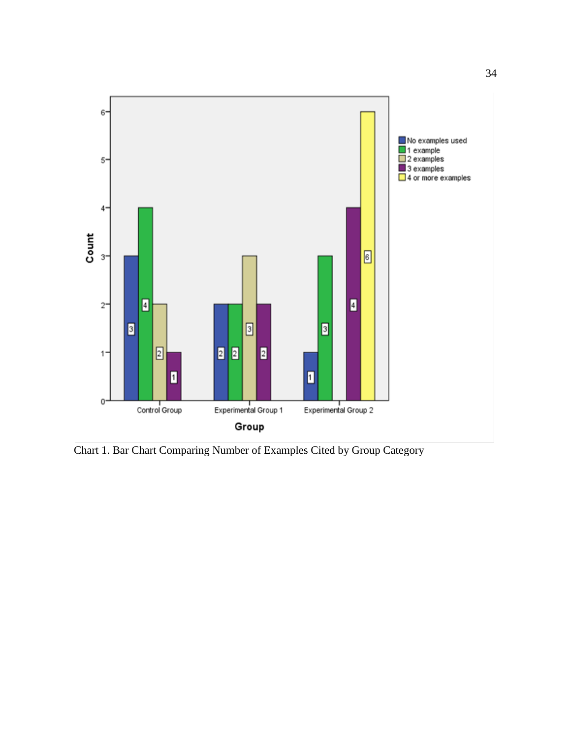

Chart 1. Bar Chart Comparing Number of Examples Cited by Group Category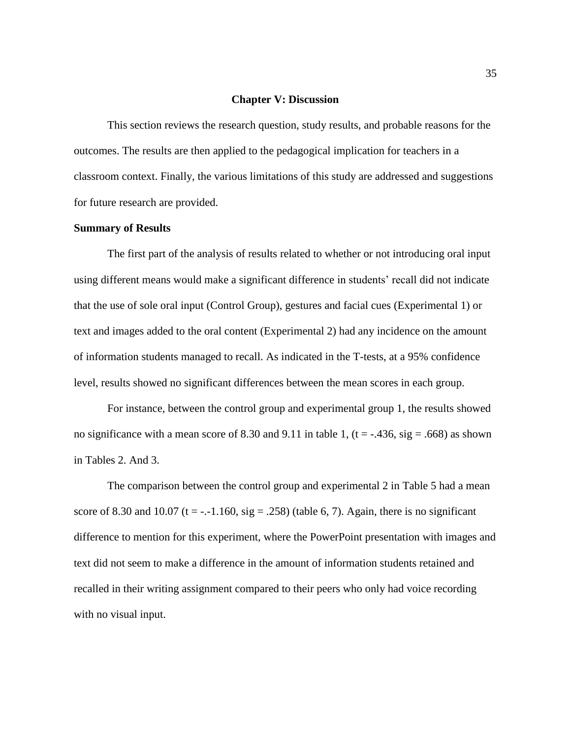### **Chapter V: Discussion**

This section reviews the research question, study results, and probable reasons for the outcomes. The results are then applied to the pedagogical implication for teachers in a classroom context. Finally, the various limitations of this study are addressed and suggestions for future research are provided.

### **Summary of Results**

The first part of the analysis of results related to whether or not introducing oral input using different means would make a significant difference in students' recall did not indicate that the use of sole oral input (Control Group), gestures and facial cues (Experimental 1) or text and images added to the oral content (Experimental 2) had any incidence on the amount of information students managed to recall. As indicated in the T-tests, at a 95% confidence level, results showed no significant differences between the mean scores in each group.

For instance, between the control group and experimental group 1, the results showed no significance with a mean score of 8.30 and 9.11 in table 1,  $(t = -0.436, \text{sig} = 0.668)$  as shown in Tables 2. And 3.

The comparison between the control group and experimental 2 in Table 5 had a mean score of 8.30 and 10.07 (t = -.-1.160, sig = .258) (table 6, 7). Again, there is no significant difference to mention for this experiment, where the PowerPoint presentation with images and text did not seem to make a difference in the amount of information students retained and recalled in their writing assignment compared to their peers who only had voice recording with no visual input.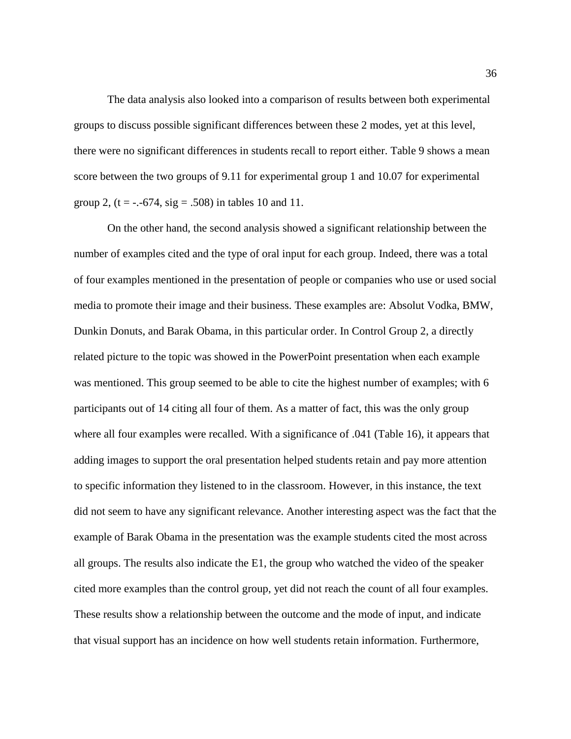The data analysis also looked into a comparison of results between both experimental groups to discuss possible significant differences between these 2 modes, yet at this level, there were no significant differences in students recall to report either. Table 9 shows a mean score between the two groups of 9.11 for experimental group 1 and 10.07 for experimental group 2,  $(t = -.674, sig = .508)$  in tables 10 and 11.

On the other hand, the second analysis showed a significant relationship between the number of examples cited and the type of oral input for each group. Indeed, there was a total of four examples mentioned in the presentation of people or companies who use or used social media to promote their image and their business. These examples are: Absolut Vodka, BMW, Dunkin Donuts, and Barak Obama, in this particular order. In Control Group 2, a directly related picture to the topic was showed in the PowerPoint presentation when each example was mentioned. This group seemed to be able to cite the highest number of examples; with 6 participants out of 14 citing all four of them. As a matter of fact, this was the only group where all four examples were recalled. With a significance of .041 (Table 16), it appears that adding images to support the oral presentation helped students retain and pay more attention to specific information they listened to in the classroom. However, in this instance, the text did not seem to have any significant relevance. Another interesting aspect was the fact that the example of Barak Obama in the presentation was the example students cited the most across all groups. The results also indicate the E1, the group who watched the video of the speaker cited more examples than the control group, yet did not reach the count of all four examples. These results show a relationship between the outcome and the mode of input, and indicate that visual support has an incidence on how well students retain information. Furthermore,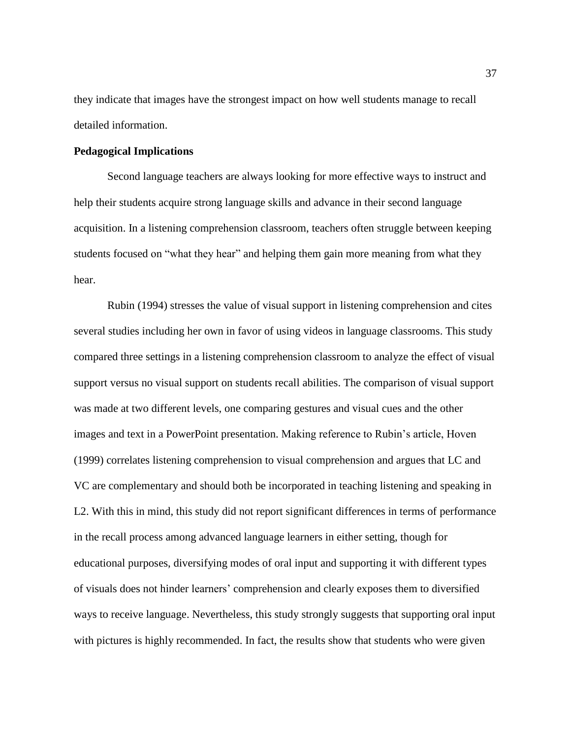they indicate that images have the strongest impact on how well students manage to recall detailed information.

### **Pedagogical Implications**

Second language teachers are always looking for more effective ways to instruct and help their students acquire strong language skills and advance in their second language acquisition. In a listening comprehension classroom, teachers often struggle between keeping students focused on "what they hear" and helping them gain more meaning from what they hear.

Rubin (1994) stresses the value of visual support in listening comprehension and cites several studies including her own in favor of using videos in language classrooms. This study compared three settings in a listening comprehension classroom to analyze the effect of visual support versus no visual support on students recall abilities. The comparison of visual support was made at two different levels, one comparing gestures and visual cues and the other images and text in a PowerPoint presentation. Making reference to Rubin's article, Hoven (1999) correlates listening comprehension to visual comprehension and argues that LC and VC are complementary and should both be incorporated in teaching listening and speaking in L2. With this in mind, this study did not report significant differences in terms of performance in the recall process among advanced language learners in either setting, though for educational purposes, diversifying modes of oral input and supporting it with different types of visuals does not hinder learners' comprehension and clearly exposes them to diversified ways to receive language. Nevertheless, this study strongly suggests that supporting oral input with pictures is highly recommended. In fact, the results show that students who were given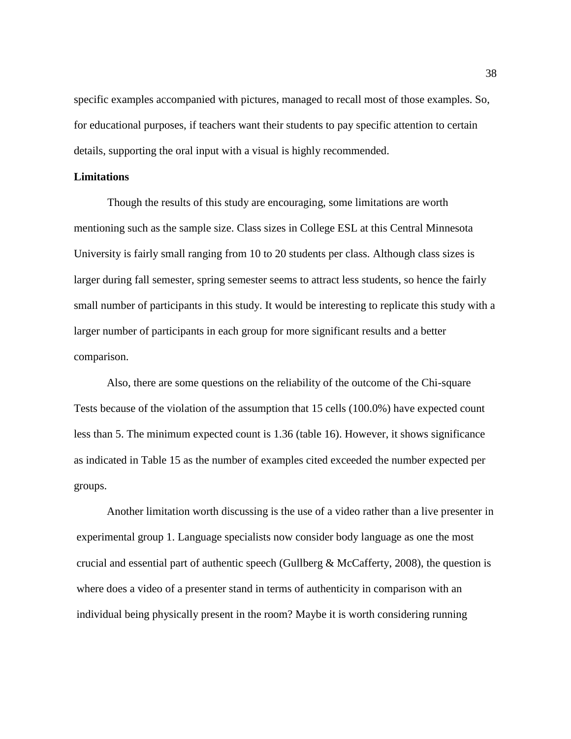specific examples accompanied with pictures, managed to recall most of those examples. So, for educational purposes, if teachers want their students to pay specific attention to certain details, supporting the oral input with a visual is highly recommended.

### **Limitations**

Though the results of this study are encouraging, some limitations are worth mentioning such as the sample size. Class sizes in College ESL at this Central Minnesota University is fairly small ranging from 10 to 20 students per class. Although class sizes is larger during fall semester, spring semester seems to attract less students, so hence the fairly small number of participants in this study. It would be interesting to replicate this study with a larger number of participants in each group for more significant results and a better comparison.

Also, there are some questions on the reliability of the outcome of the Chi-square Tests because of the violation of the assumption that 15 cells (100.0%) have expected count less than 5. The minimum expected count is 1.36 (table 16). However, it shows significance as indicated in Table 15 as the number of examples cited exceeded the number expected per groups.

Another limitation worth discussing is the use of a video rather than a live presenter in experimental group 1. Language specialists now consider body language as one the most crucial and essential part of authentic speech (Gullberg  $\&$  McCafferty, 2008), the question is where does a video of a presenter stand in terms of authenticity in comparison with an individual being physically present in the room? Maybe it is worth considering running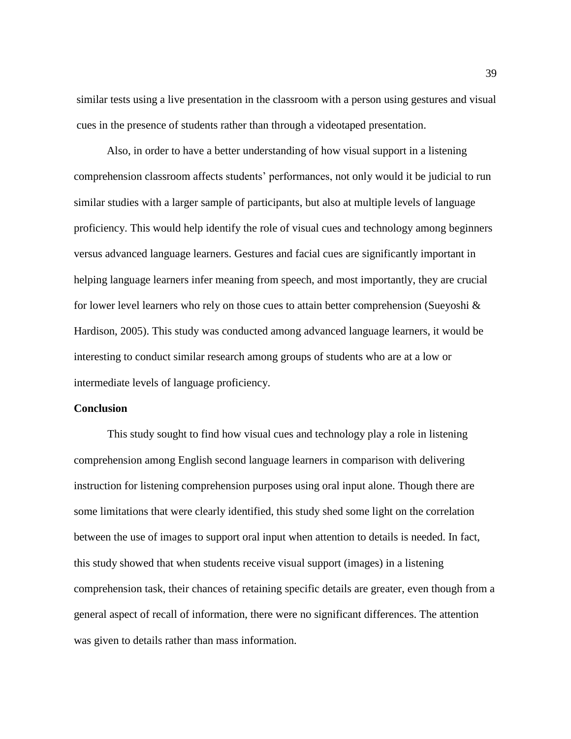similar tests using a live presentation in the classroom with a person using gestures and visual cues in the presence of students rather than through a videotaped presentation.

Also, in order to have a better understanding of how visual support in a listening comprehension classroom affects students' performances, not only would it be judicial to run similar studies with a larger sample of participants, but also at multiple levels of language proficiency. This would help identify the role of visual cues and technology among beginners versus advanced language learners. Gestures and facial cues are significantly important in helping language learners infer meaning from speech, and most importantly, they are crucial for lower level learners who rely on those cues to attain better comprehension (Sueyoshi  $\&$ Hardison, 2005). This study was conducted among advanced language learners, it would be interesting to conduct similar research among groups of students who are at a low or intermediate levels of language proficiency.

### **Conclusion**

This study sought to find how visual cues and technology play a role in listening comprehension among English second language learners in comparison with delivering instruction for listening comprehension purposes using oral input alone. Though there are some limitations that were clearly identified, this study shed some light on the correlation between the use of images to support oral input when attention to details is needed. In fact, this study showed that when students receive visual support (images) in a listening comprehension task, their chances of retaining specific details are greater, even though from a general aspect of recall of information, there were no significant differences. The attention was given to details rather than mass information.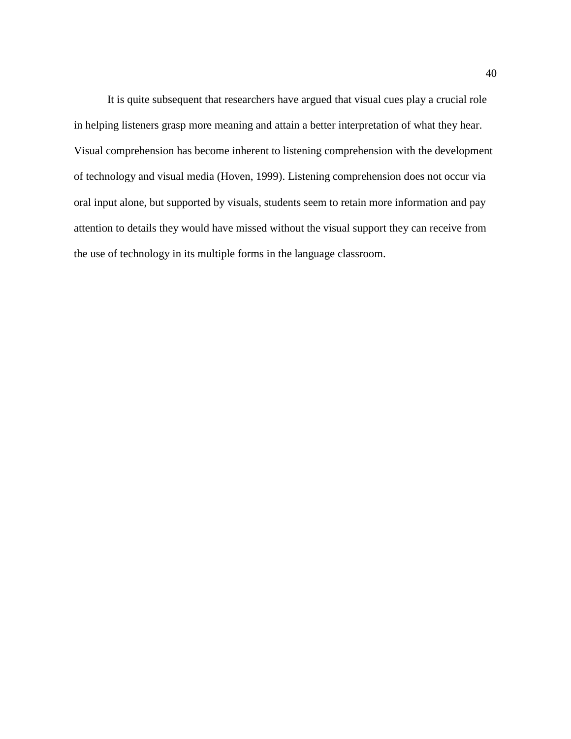It is quite subsequent that researchers have argued that visual cues play a crucial role in helping listeners grasp more meaning and attain a better interpretation of what they hear. Visual comprehension has become inherent to listening comprehension with the development of technology and visual media (Hoven, 1999). Listening comprehension does not occur via oral input alone, but supported by visuals, students seem to retain more information and pay attention to details they would have missed without the visual support they can receive from the use of technology in its multiple forms in the language classroom.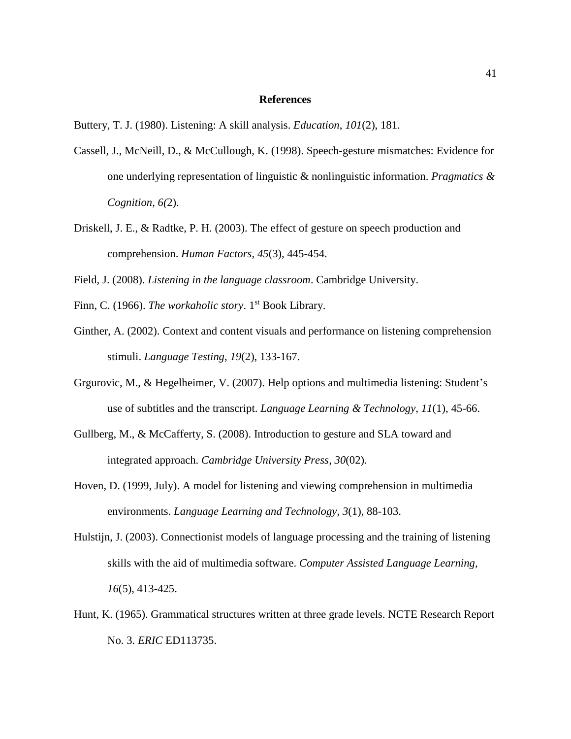### **References**

- Cassell, J., McNeill, D., & McCullough, K. (1998). Speech-gesture mismatches: Evidence for one underlying representation of linguistic & nonlinguistic information. *Pragmatics & Cognition*, *6(*2).
- Driskell, J. E., & Radtke, P. H. (2003). The effect of gesture on speech production and comprehension. *Human Factors*, *45*(3), 445-454.
- Field, J. (2008). *Listening in the language classroom*. Cambridge University.
- Finn, C. (1966). *The workaholic story*. 1<sup>st</sup> Book Library.
- Ginther, A. (2002). Context and content visuals and performance on listening comprehension stimuli. *Language Testing*, *19*(2), 133-167.
- Grgurovic, M., & Hegelheimer, V. (2007). Help options and multimedia listening: Student's use of subtitles and the transcript. *Language Learning & Technology*, *11*(1), 45-66.
- Gullberg, M., & McCafferty, S. (2008). Introduction to gesture and SLA toward and integrated approach. *Cambridge University Press*, *30*(02).
- Hoven, D. (1999, July). A model for listening and viewing comprehension in multimedia environments. *Language Learning and Technology, 3*(1), 88-103.
- Hulstijn, J. (2003). Connectionist models of language processing and the training of listening skills with the aid of multimedia software. *Computer Assisted Language Learning*, *16*(5), 413-425.
- Hunt, K. (1965). Grammatical structures written at three grade levels. NCTE Research Report No. 3. *ERIC* ED113735.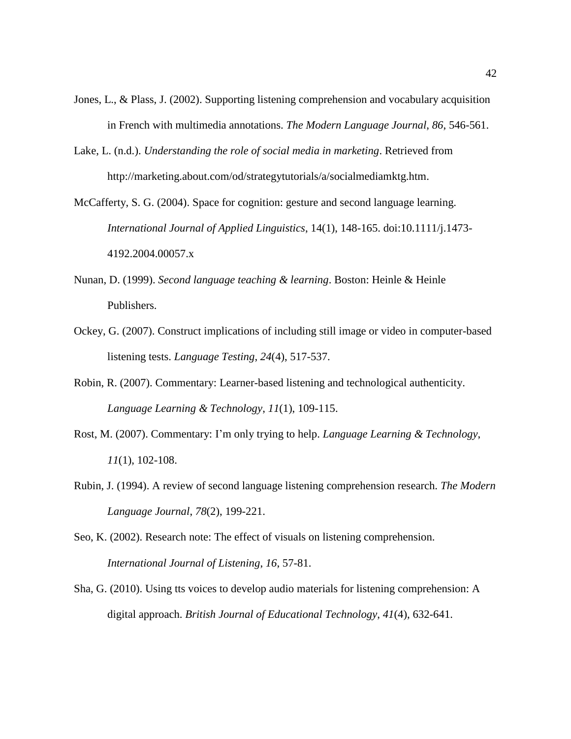- Jones, L., & Plass, J. (2002). Supporting listening comprehension and vocabulary acquisition in French with multimedia annotations. *The Modern Language Journal*, *86*, 546-561.
- Lake, L. (n.d.). *Understanding the role of social media in marketing*. Retrieved from http://marketing.about.com/od/strategytutorials/a/socialmediamktg.htm.
- McCafferty, S. G. (2004). Space for cognition: gesture and second language learning. *International Journal of Applied Linguistics*, 14(1), 148-165. doi:10.1111/j.1473- 4192.2004.00057.x
- Nunan, D. (1999). *Second language teaching & learning*. Boston: Heinle & Heinle Publishers.
- Ockey, G. (2007). Construct implications of including still image or video in computer-based listening tests. *Language Testing*, *24*(4), 517-537.
- Robin, R. (2007). Commentary: Learner-based listening and technological authenticity. *Language Learning & Technology*, *11*(1), 109-115.
- Rost, M. (2007). Commentary: I'm only trying to help. *Language Learning & Technology*, *11*(1), 102-108.
- Rubin, J. (1994). A review of second language listening comprehension research. *The Modern Language Journal*, *78*(2), 199-221.
- Seo, K. (2002). Research note: The effect of visuals on listening comprehension. *International Journal of Listening*, *16*, 57-81.
- Sha, G. (2010). Using tts voices to develop audio materials for listening comprehension: A digital approach. *British Journal of Educational Technology*, *41*(4), 632-641.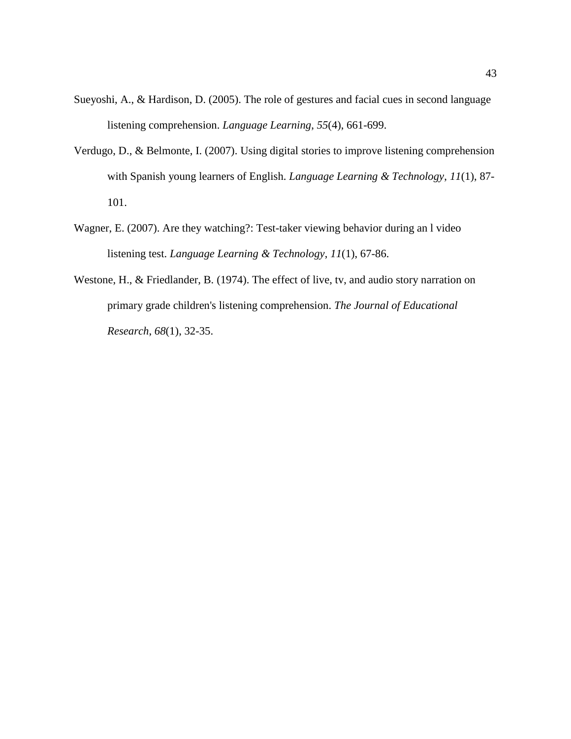- Sueyoshi, A., & Hardison, D. (2005). The role of gestures and facial cues in second language listening comprehension. *Language Learning*, *55*(4), 661-699.
- Verdugo, D., & Belmonte, I. (2007). Using digital stories to improve listening comprehension with Spanish young learners of English. *Language Learning & Technology*, *11*(1), 87- 101.
- Wagner, E. (2007). Are they watching?: Test-taker viewing behavior during an l video listening test. *Language Learning & Technology*, *11*(1), 67-86.
- Westone, H., & Friedlander, B. (1974). The effect of live, tv, and audio story narration on primary grade children's listening comprehension. *The Journal of Educational Research*, *68*(1), 32-35.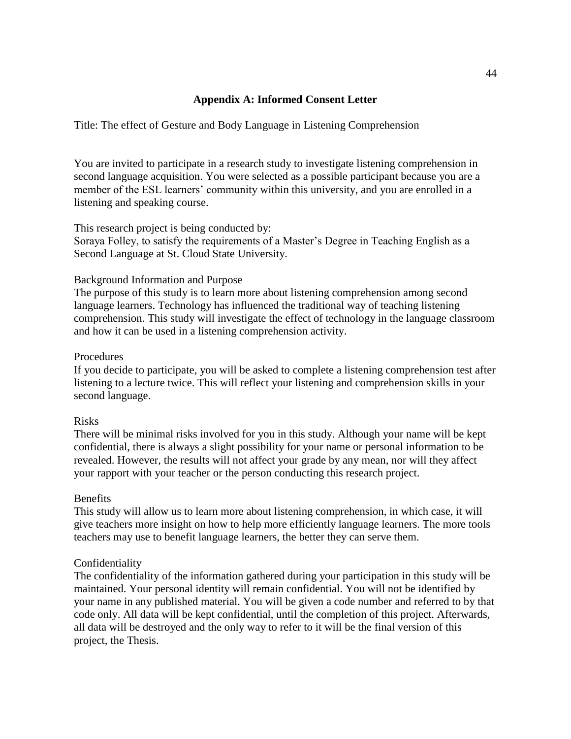### **Appendix A: Informed Consent Letter**

Title: The effect of Gesture and Body Language in Listening Comprehension

You are invited to participate in a research study to investigate listening comprehension in second language acquisition. You were selected as a possible participant because you are a member of the ESL learners' community within this university, and you are enrolled in a listening and speaking course.

This research project is being conducted by:

Soraya Folley, to satisfy the requirements of a Master's Degree in Teaching English as a Second Language at St. Cloud State University.

### Background Information and Purpose

The purpose of this study is to learn more about listening comprehension among second language learners. Technology has influenced the traditional way of teaching listening comprehension. This study will investigate the effect of technology in the language classroom and how it can be used in a listening comprehension activity.

### **Procedures**

If you decide to participate, you will be asked to complete a listening comprehension test after listening to a lecture twice. This will reflect your listening and comprehension skills in your second language.

### Risks

There will be minimal risks involved for you in this study. Although your name will be kept confidential, there is always a slight possibility for your name or personal information to be revealed. However, the results will not affect your grade by any mean, nor will they affect your rapport with your teacher or the person conducting this research project.

### Benefits

This study will allow us to learn more about listening comprehension, in which case, it will give teachers more insight on how to help more efficiently language learners. The more tools teachers may use to benefit language learners, the better they can serve them.

### Confidentiality

The confidentiality of the information gathered during your participation in this study will be maintained. Your personal identity will remain confidential. You will not be identified by your name in any published material. You will be given a code number and referred to by that code only. All data will be kept confidential, until the completion of this project. Afterwards, all data will be destroyed and the only way to refer to it will be the final version of this project, the Thesis.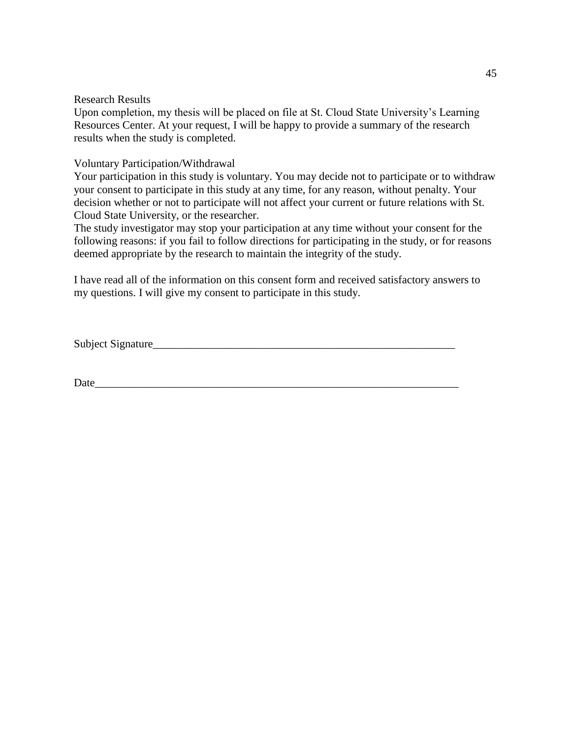Research Results

Upon completion, my thesis will be placed on file at St. Cloud State University's Learning Resources Center. At your request, I will be happy to provide a summary of the research results when the study is completed.

Voluntary Participation/Withdrawal

Your participation in this study is voluntary. You may decide not to participate or to withdraw your consent to participate in this study at any time, for any reason, without penalty. Your decision whether or not to participate will not affect your current or future relations with St. Cloud State University, or the researcher.

The study investigator may stop your participation at any time without your consent for the following reasons: if you fail to follow directions for participating in the study, or for reasons deemed appropriate by the research to maintain the integrity of the study.

I have read all of the information on this consent form and received satisfactory answers to my questions. I will give my consent to participate in this study.

Subject Signature\_\_\_\_\_\_\_\_\_\_\_\_\_\_\_\_\_\_\_\_\_\_\_\_\_\_\_\_\_\_\_\_\_\_\_\_\_\_\_\_\_\_\_\_\_\_\_\_\_\_\_\_\_\_

Date\_\_\_\_\_\_\_\_\_\_\_\_\_\_\_\_\_\_\_\_\_\_\_\_\_\_\_\_\_\_\_\_\_\_\_\_\_\_\_\_\_\_\_\_\_\_\_\_\_\_\_\_\_\_\_\_\_\_\_\_\_\_\_\_\_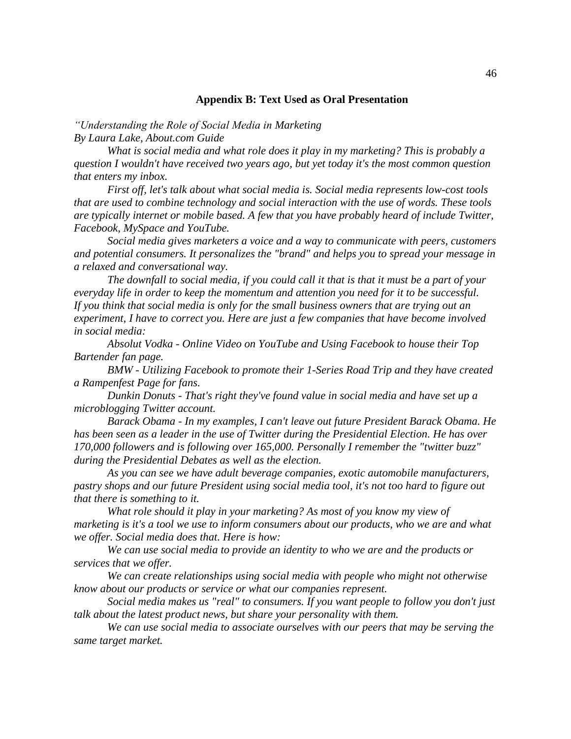### **Appendix B: Text Used as Oral Presentation**

*"Understanding the Role of Social Media in Marketing By Laura Lake, About.com Guide*

*What is social media and what role does it play in my marketing? This is probably a question I wouldn't have received two years ago, but yet today it's the most common question that enters my inbox.* 

*First off, let's talk about what social media is. Social media represents low-cost tools that are used to combine technology and social interaction with the use of words. These tools are typically internet or mobile based. A few that you have probably heard of include Twitter, Facebook, MySpace and YouTube.* 

*Social media gives marketers a voice and a way to communicate with peers, customers and potential consumers. It personalizes the "brand" and helps you to spread your message in a relaxed and conversational way.* 

*The downfall to social media, if you could call it that is that it must be a part of your everyday life in order to keep the momentum and attention you need for it to be successful. If you think that social media is only for the small business owners that are trying out an experiment, I have to correct you. Here are just a few companies that have become involved in social media:* 

*Absolut Vodka - Online Video on YouTube and Using Facebook to house their Top Bartender fan page.* 

*BMW - Utilizing Facebook to promote their 1-Series Road Trip and they have created a Rampenfest Page for fans.* 

*Dunkin Donuts - That's right they've found value in social media and have set up a microblogging Twitter account.* 

*Barack Obama - In my examples, I can't leave out future President Barack Obama. He has been seen as a leader in the use of Twitter during the Presidential Election. He has over 170,000 followers and is following over 165,000. Personally I remember the "twitter buzz" during the Presidential Debates as well as the election.* 

*As you can see we have adult beverage companies, exotic automobile manufacturers, pastry shops and our future President using social media tool, it's not too hard to figure out that there is something to it.* 

*What role should it play in your marketing? As most of you know my view of marketing is it's a tool we use to inform consumers about our products, who we are and what we offer. Social media does that. Here is how:* 

*We can use social media to provide an identity to who we are and the products or services that we offer.* 

*We can create relationships using social media with people who might not otherwise know about our products or service or what our companies represent.* 

*Social media makes us "real" to consumers. If you want people to follow you don't just talk about the latest product news, but share your personality with them.* 

*We can use social media to associate ourselves with our peers that may be serving the same target market.*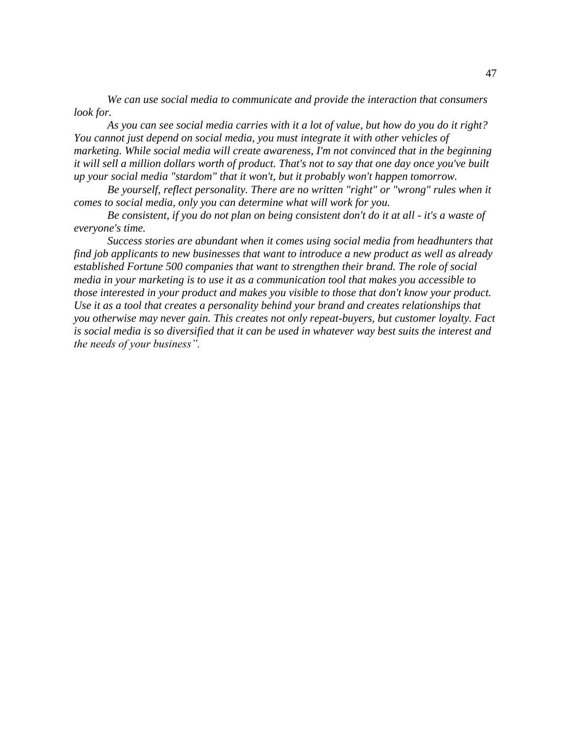*We can use social media to communicate and provide the interaction that consumers look for.*

*As you can see social media carries with it a lot of value, but how do you do it right? You cannot just depend on social media, you must integrate it with other vehicles of marketing. While social media will create awareness, I'm not convinced that in the beginning it will sell a million dollars worth of product. That's not to say that one day once you've built up your social media "stardom" that it won't, but it probably won't happen tomorrow.*

*Be yourself, reflect personality. There are no written "right" or "wrong" rules when it comes to social media, only you can determine what will work for you.*

*Be consistent, if you do not plan on being consistent don't do it at all - it's a waste of everyone's time.* 

*Success stories are abundant when it comes using social media from headhunters that find job applicants to new businesses that want to introduce a new product as well as already established Fortune 500 companies that want to strengthen their brand. The role of social media in your marketing is to use it as a communication tool that makes you accessible to those interested in your product and makes you visible to those that don't know your product. Use it as a tool that creates a personality behind your brand and creates relationships that you otherwise may never gain. This creates not only repeat-buyers, but customer loyalty. Fact is social media is so diversified that it can be used in whatever way best suits the interest and the needs of your business".*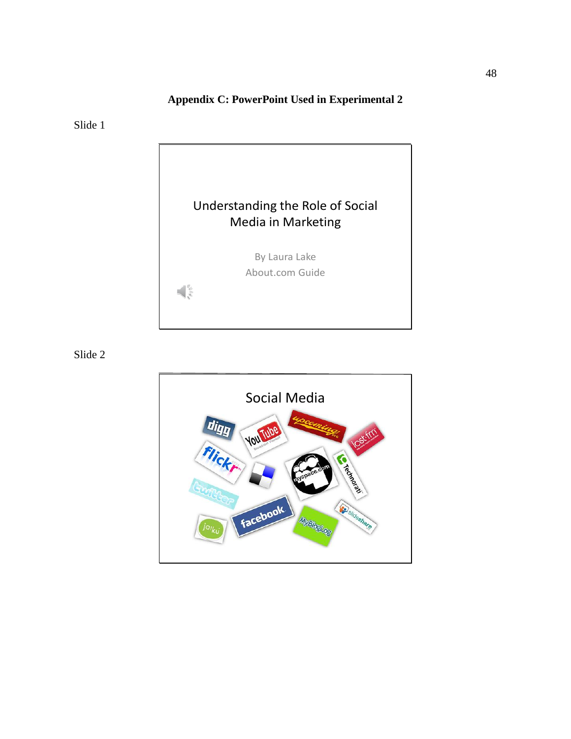# **Appendix C: PowerPoint Used in Experimental 2**

Slide 1



Slide 2

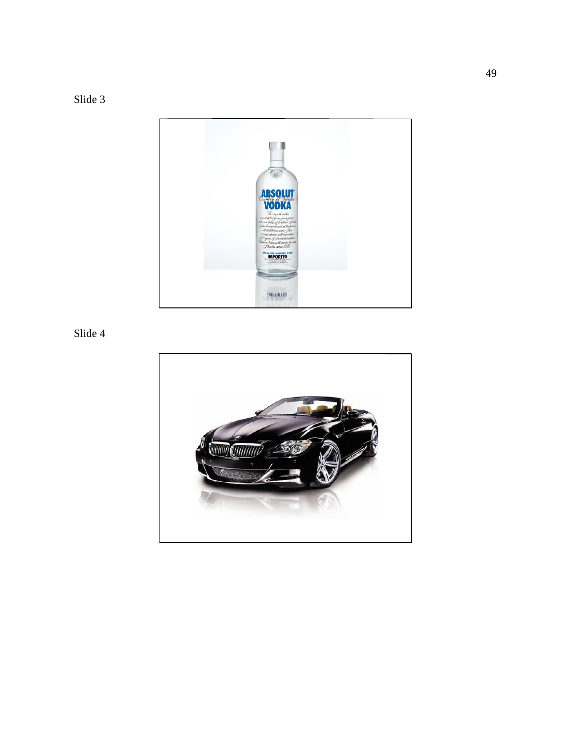Slide 3



Slide 4

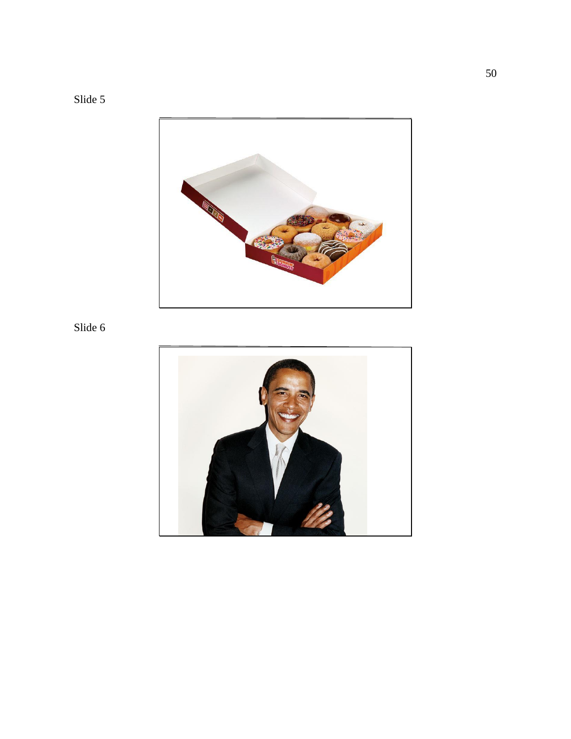



# Slide 6

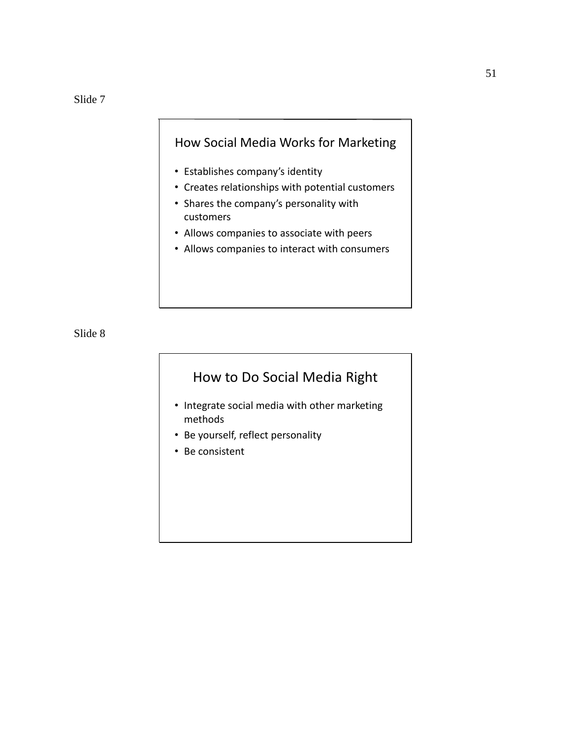# How Social Media Works for Marketing

- Establishes company's identity
- Creates relationships with potential customers
- Shares the company's personality with customers
- Allows companies to associate with peers
- Allows companies to interact with consumers

Slide 8

# How to Do Social Media Right

- Integrate social media with other marketing methods
- Be yourself, reflect personality
- Be consistent